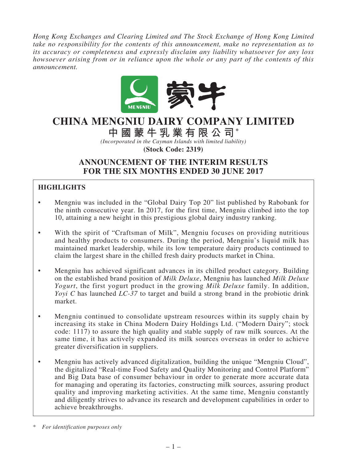*Hong Kong Exchanges and Clearing Limited and The Stock Exchange of Hong Kong Limited take no responsibility for the contents of this announcement, make no representation as to its accuracy or completeness and expressly disclaim any liability whatsoever for any loss howsoever arising from or in reliance upon the whole or any part of the contents of this announcement.*



# **CHINA MENGNIU DAIRY COMPANY LIMITED**

**中國蒙牛乳業有限公司\***

*(Incorporated in the Cayman Islands with limited liability)*

**(Stock Code: 2319)**

# **ANNOUNCEMENT OF THE INTERIM RESULTS FOR THE SIX MONTHS ENDED 30 JUNE 2017**

# **HIGHLIGHTS**

- Mengniu was included in the "Global Dairy Top 20" list published by Rabobank for the ninth consecutive year. In 2017, for the first time, Mengniu climbed into the top 10, attaining a new height in this prestigious global dairy industry ranking.
- With the spirit of "Craftsman of Milk", Mengniu focuses on providing nutritious and healthy products to consumers. During the period, Mengniu's liquid milk has maintained market leadership, while its low temperature dairy products continued to claim the largest share in the chilled fresh dairy products market in China.
- Mengniu has achieved significant advances in its chilled product category. Building on the established brand position of *Milk Deluxe*, Mengniu has launched *Milk Deluxe Yogurt*, the first yogurt product in the growing *Milk Deluxe* family. In addition, *Yoyi C* has launched *LC-37* to target and build a strong brand in the probiotic drink market.
- Mengniu continued to consolidate upstream resources within its supply chain by increasing its stake in China Modern Dairy Holdings Ltd. ("Modern Dairy"; stock code: 1117) to assure the high quality and stable supply of raw milk sources. At the same time, it has actively expanded its milk sources overseas in order to achieve greater diversification in suppliers.
- Mengniu has actively advanced digitalization, building the unique "Mengniu Cloud", the digitalized "Real-time Food Safety and Quality Monitoring and Control Platform" and Big Data base of consumer behaviour in order to generate more accurate data for managing and operating its factories, constructing milk sources, assuring product quality and improving marketing activities. At the same time, Mengniu constantly and diligently strives to advance its research and development capabilities in order to achieve breakthroughs.

\* *For identification purposes only*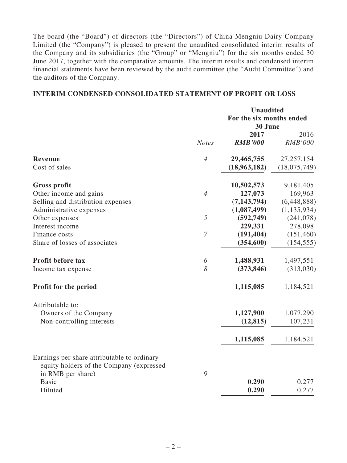The board (the "Board") of directors (the "Directors") of China Mengniu Dairy Company Limited (the "Company") is pleased to present the unaudited consolidated interim results of the Company and its subsidiaries (the "Group" or "Mengniu") for the six months ended 30 June 2017, together with the comparative amounts. The interim results and condensed interim financial statements have been reviewed by the audit committee (the "Audit Committee") and the auditors of the Company.

# **INTERIM CONDENSED CONSOLIDATED STATEMENT OF PROFIT OR LOSS**

|                                                                                         |                | <b>Unaudited</b>         |                |  |
|-----------------------------------------------------------------------------------------|----------------|--------------------------|----------------|--|
|                                                                                         |                | For the six months ended |                |  |
|                                                                                         |                | 30 June                  |                |  |
|                                                                                         |                | 2017                     | 2016           |  |
|                                                                                         | <b>Notes</b>   | <b>RMB'000</b>           | <b>RMB'000</b> |  |
| Revenue                                                                                 | $\overline{4}$ | 29,465,755               | 27, 257, 154   |  |
| Cost of sales                                                                           |                | (18,963,182)             | (18,075,749)   |  |
| <b>Gross profit</b>                                                                     |                | 10,502,573               | 9,181,405      |  |
| Other income and gains                                                                  | $\overline{4}$ | 127,073                  | 169,963        |  |
| Selling and distribution expenses                                                       |                | (7, 143, 794)            | (6,448,888)    |  |
| Administrative expenses                                                                 |                | (1,087,499)              | (1, 135, 934)  |  |
| Other expenses                                                                          | 5              | (592, 749)               | (241, 078)     |  |
| Interest income                                                                         |                | 229,331                  | 278,098        |  |
| Finance costs                                                                           | $\overline{7}$ | (191, 404)               | (151, 460)     |  |
| Share of losses of associates                                                           |                | (354, 600)               | (154, 555)     |  |
| <b>Profit before tax</b>                                                                | 6              | 1,488,931                | 1,497,551      |  |
| Income tax expense                                                                      | 8              | (373, 846)               | (313,030)      |  |
| Profit for the period                                                                   |                | 1,115,085                | 1,184,521      |  |
| Attributable to:                                                                        |                |                          |                |  |
| Owners of the Company                                                                   |                | 1,127,900                | 1,077,290      |  |
| Non-controlling interests                                                               |                | (12, 815)                | 107,231        |  |
|                                                                                         |                | 1,115,085                | 1,184,521      |  |
| Earnings per share attributable to ordinary<br>equity holders of the Company (expressed |                |                          |                |  |
| in RMB per share)                                                                       | 9              |                          |                |  |
| <b>Basic</b>                                                                            |                | 0.290                    | 0.277          |  |
| Diluted                                                                                 |                | 0.290                    | 0.277          |  |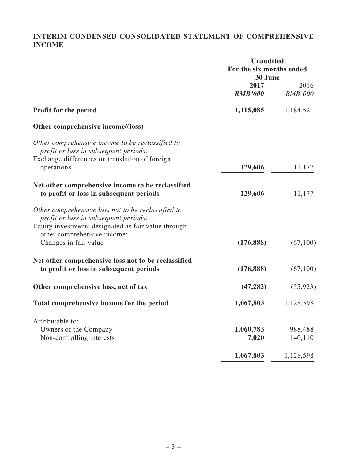# **INTERIM CONDENSED CONSOLIDATED STATEMENT OF COMPREHENSIVE INCOME**

|                                                                                                                                                    | <b>Unaudited</b><br>For the six months ended<br>30 June |                        |  |
|----------------------------------------------------------------------------------------------------------------------------------------------------|---------------------------------------------------------|------------------------|--|
|                                                                                                                                                    | 2017<br><b>RMB'000</b>                                  | 2016<br><b>RMB'000</b> |  |
| Profit for the period                                                                                                                              | 1,115,085                                               | 1,184,521              |  |
| Other comprehensive income/(loss)                                                                                                                  |                                                         |                        |  |
| Other comprehensive income to be reclassified to<br>profit or loss in subsequent periods:<br>Exchange differences on translation of foreign        |                                                         |                        |  |
| operations                                                                                                                                         | 129,606                                                 | 11,177                 |  |
| Net other comprehensive income to be reclassified<br>to profit or loss in subsequent periods                                                       | 129,606                                                 | 11,177                 |  |
| Other comprehensive loss not to be reclassified to<br>profit or loss in subsequent periods:<br>Equity investments designated as fair value through |                                                         |                        |  |
| other comprehensive income:<br>Changes in fair value                                                                                               | (176, 888)                                              | (67,100)               |  |
| Net other comprehensive loss not to be reclassified<br>to profit or loss in subsequent periods                                                     | (176, 888)                                              | (67,100)               |  |
| Other comprehensive loss, net of tax                                                                                                               | (47, 282)                                               | (55, 923)              |  |
| Total comprehensive income for the period                                                                                                          | 1,067,803                                               | 1,128,598              |  |
| Attributable to:                                                                                                                                   |                                                         |                        |  |
| Owners of the Company<br>Non-controlling interests                                                                                                 | 1,060,783<br>7,020                                      | 988,488<br>140,110     |  |
|                                                                                                                                                    | 1,067,803                                               | 1,128,598              |  |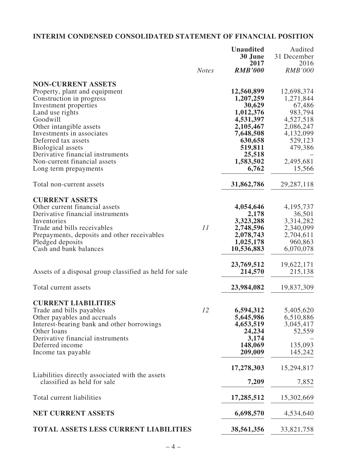# **INTERIM CONDENSED CONSOLIDATED STATEMENT OF FINANCIAL POSITION**

|                                                                                |              | <b>Unaudited</b>   | Audited             |
|--------------------------------------------------------------------------------|--------------|--------------------|---------------------|
|                                                                                |              | 30 June<br>2017    | 31 December<br>2016 |
|                                                                                | <b>Notes</b> | <b>RMB'000</b>     | <b>RMB'000</b>      |
|                                                                                |              |                    |                     |
| <b>NON-CURRENT ASSETS</b><br>Property, plant and equipment                     |              | 12,560,899         | 12,698,374          |
| Construction in progress                                                       |              | 1,207,259          | 1,271,844           |
| Investment properties                                                          |              | 30,629             | 67,486              |
| Land use rights                                                                |              | 1,012,376          | 983,794             |
| Goodwill                                                                       |              | 4,531,397          | 4,527,518           |
| Other intangible assets                                                        |              | 2,105,467          | 2,086,247           |
| Investments in associates                                                      |              | 7,648,508          | 4,132,099           |
| Deferred tax assets                                                            |              | 630,658            | 529,123             |
| Biological assets                                                              |              | 519,811            | 479,386             |
| Derivative financial instruments                                               |              | 25,518             |                     |
| Non-current financial assets                                                   |              | 1,583,502          | 2,495,681           |
| Long term prepayments                                                          |              | 6,762              | 15,566              |
| Total non-current assets                                                       |              | 31,862,786         | 29, 287, 118        |
|                                                                                |              |                    |                     |
| <b>CURRENT ASSETS</b>                                                          |              |                    |                     |
| Other current financial assets<br>Derivative financial instruments             |              | 4,054,646<br>2,178 | 4, 195, 737         |
| Inventories                                                                    |              | 3,323,288          | 36,501<br>3,314,282 |
| Trade and bills receivables                                                    | 11           | 2,748,596          | 2,340,099           |
| Prepayments, deposits and other receivables                                    |              | 2,078,743          | 2,704,611           |
| Pledged deposits                                                               |              | 1,025,178          | 960,863             |
| Cash and bank balances                                                         |              | 10,536,883         | 6,070,078           |
|                                                                                |              |                    |                     |
|                                                                                |              | 23,769,512         | 19,622,171          |
| Assets of a disposal group classified as held for sale                         |              | 214,570            | 215,138             |
| Total current assets                                                           |              | 23,984,082         | 19,837,309          |
|                                                                                |              |                    |                     |
| <b>CURRENT LIABILITIES</b>                                                     |              |                    |                     |
| Trade and bills payables                                                       | 12           | 6,594,312          | 5,405,620           |
| Other payables and accruals                                                    |              | 5,645,986          | 6,510,886           |
| Interest-bearing bank and other borrowings                                     |              | 4,653,519          | 3,045,417           |
| Other loans                                                                    |              | 24,234             | 52,559              |
| Derivative financial instruments                                               |              | 3,174              |                     |
| Deferred income                                                                |              | 148,069<br>209,009 | 135,093<br>145,242  |
| Income tax payable                                                             |              |                    |                     |
|                                                                                |              | 17,278,303         | 15,294,817          |
| Liabilities directly associated with the assets<br>classified as held for sale |              | 7,209              | 7,852               |
|                                                                                |              |                    |                     |
| Total current liabilities                                                      |              | 17,285,512         | 15,302,669          |
| <b>NET CURRENT ASSETS</b>                                                      |              | 6,698,570          | 4,534,640           |
| <b>TOTAL ASSETS LESS CURRENT LIABILITIES</b>                                   |              | 38,561,356         | 33,821,758          |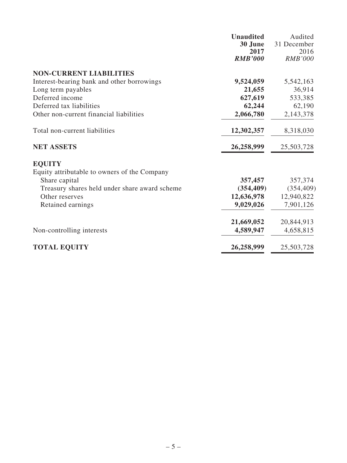|                                               | <b>Unaudited</b> | Audited        |
|-----------------------------------------------|------------------|----------------|
|                                               | 30 June          | 31 December    |
|                                               | 2017             | 2016           |
|                                               | <b>RMB'000</b>   | <b>RMB'000</b> |
| <b>NON-CURRENT LIABILITIES</b>                |                  |                |
| Interest-bearing bank and other borrowings    | 9,524,059        | 5,542,163      |
| Long term payables                            | 21,655           | 36,914         |
| Deferred income                               | 627,619          | 533,385        |
| Deferred tax liabilities                      | 62,244           | 62,190         |
| Other non-current financial liabilities       | 2,066,780        | 2,143,378      |
| Total non-current liabilities                 | 12,302,357       | 8,318,030      |
| <b>NET ASSETS</b>                             | 26,258,999       | 25,503,728     |
| <b>EQUITY</b>                                 |                  |                |
| Equity attributable to owners of the Company  |                  |                |
| Share capital                                 | 357,457          | 357,374        |
| Treasury shares held under share award scheme | (354, 409)       | (354, 409)     |
| Other reserves                                | 12,636,978       | 12,940,822     |
| Retained earnings                             | 9,029,026        | 7,901,126      |
|                                               | 21,669,052       | 20,844,913     |
| Non-controlling interests                     | 4,589,947        | 4,658,815      |
| <b>TOTAL EQUITY</b>                           | 26,258,999       | 25,503,728     |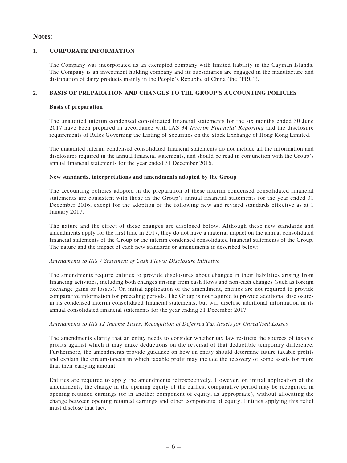### **Notes**:

### **1. CORPORATE INFORMATION**

The Company was incorporated as an exempted company with limited liability in the Cayman Islands. The Company is an investment holding company and its subsidiaries are engaged in the manufacture and distribution of dairy products mainly in the People's Republic of China (the "PRC").

### **2. BASIS OF PREPARATION AND CHANGES TO THE GROUP'S ACCOUNTING POLICIES**

#### **Basis of preparation**

The unaudited interim condensed consolidated financial statements for the six months ended 30 June 2017 have been prepared in accordance with IAS 34 *Interim Financial Reporting* and the disclosure requirements of Rules Governing the Listing of Securities on the Stock Exchange of Hong Kong Limited.

The unaudited interim condensed consolidated financial statements do not include all the information and disclosures required in the annual financial statements, and should be read in conjunction with the Group's annual financial statements for the year ended 31 December 2016.

### **New standards, interpretations and amendments adopted by the Group**

The accounting policies adopted in the preparation of these interim condensed consolidated financial statements are consistent with those in the Group's annual financial statements for the year ended 31 December 2016, except for the adoption of the following new and revised standards effective as at 1 January 2017.

The nature and the effect of these changes are disclosed below. Although these new standards and amendments apply for the first time in 2017, they do not have a material impact on the annual consolidated financial statements of the Group or the interim condensed consolidated financial statements of the Group. The nature and the impact of each new standards or amendments is described below:

#### *Amendments to IAS 7 Statement of Cash Flows: Disclosure Initiative*

The amendments require entities to provide disclosures about changes in their liabilities arising from financing activities, including both changes arising from cash flows and non-cash changes (such as foreign exchange gains or losses). On initial application of the amendment, entities are not required to provide comparative information for preceding periods. The Group is not required to provide additional disclosures in its condensed interim consolidated financial statements, but will disclose additional information in its annual consolidated financial statements for the year ending 31 December 2017.

#### *Amendments to IAS 12 Income Taxes: Recognition of Deferred Tax Assets for Unrealised Losses*

The amendments clarify that an entity needs to consider whether tax law restricts the sources of taxable profits against which it may make deductions on the reversal of that deductible temporary difference. Furthermore, the amendments provide guidance on how an entity should determine future taxable profits and explain the circumstances in which taxable profit may include the recovery of some assets for more than their carrying amount.

Entities are required to apply the amendments retrospectively. However, on initial application of the amendments, the change in the opening equity of the earliest comparative period may be recognised in opening retained earnings (or in another component of equity, as appropriate), without allocating the change between opening retained earnings and other components of equity. Entities applying this relief must disclose that fact.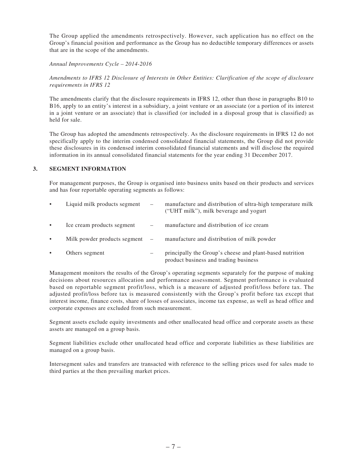The Group applied the amendments retrospectively. However, such application has no effect on the Group's financial position and performance as the Group has no deductible temporary differences or assets that are in the scope of the amendments.

*Annual Improvements Cycle – 2014-2016*

*Amendments to IFRS 12 Disclosure of Interests in Other Entities: Clarification of the scope of disclosure requirements in IFRS 12*

The amendments clarify that the disclosure requirements in IFRS 12, other than those in paragraphs B10 to B16, apply to an entity's interest in a subsidiary, a joint venture or an associate (or a portion of its interest in a joint venture or an associate) that is classified (or included in a disposal group that is classified) as held for sale.

The Group has adopted the amendments retrospectively. As the disclosure requirements in IFRS 12 do not specifically apply to the interim condensed consolidated financial statements, the Group did not provide these disclosures in its condensed interim consolidated financial statements and will disclose the required information in its annual consolidated financial statements for the year ending 31 December 2017.

### **3. SEGMENT INFORMATION**

For management purposes, the Group is organised into business units based on their products and services and has four reportable operating segments as follows:

| $\bullet$ | Liquid milk products segment     | $\overbrace{\phantom{1232211}}$ | manufacture and distribution of ultra-high temperature milk<br>("UHT milk"), milk beverage and yogurt |
|-----------|----------------------------------|---------------------------------|-------------------------------------------------------------------------------------------------------|
| $\bullet$ | Ice cream products segment       |                                 | manufacture and distribution of ice cream                                                             |
| $\bullet$ | Milk powder products segment $-$ |                                 | manufacture and distribution of milk powder                                                           |
|           | Others segment                   |                                 | principally the Group's cheese and plant-based nutrition<br>product business and trading business     |

Management monitors the results of the Group's operating segments separately for the purpose of making decisions about resources allocation and performance assessment. Segment performance is evaluated based on reportable segment profit/loss, which is a measure of adjusted profit/loss before tax. The adjusted profit/loss before tax is measured consistently with the Group's profit before tax except that interest income, finance costs, share of losses of associates, income tax expense, as well as head office and corporate expenses are excluded from such measurement.

Segment assets exclude equity investments and other unallocated head office and corporate assets as these assets are managed on a group basis.

Segment liabilities exclude other unallocated head office and corporate liabilities as these liabilities are managed on a group basis.

Intersegment sales and transfers are transacted with reference to the selling prices used for sales made to third parties at the then prevailing market prices.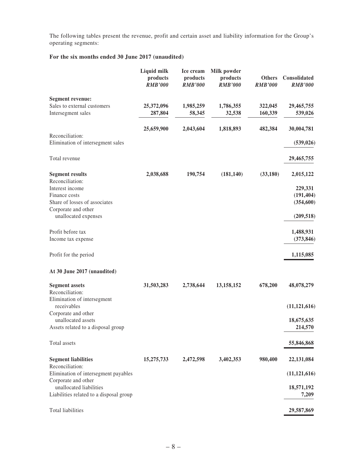The following tables present the revenue, profit and certain asset and liability information for the Group's operating segments:

### **For the six months ended 30 June 2017 (unaudited)**

|                                                                    | Liquid milk<br>products<br><b>RMB'000</b> | Ice cream<br>products<br><b>RMB'000</b> | Milk powder<br>products<br><b>RMB'000</b> | <b>Others</b><br><b>RMB'000</b> | Consolidated<br><b>RMB'000</b> |
|--------------------------------------------------------------------|-------------------------------------------|-----------------------------------------|-------------------------------------------|---------------------------------|--------------------------------|
| <b>Segment revenue:</b>                                            |                                           |                                         |                                           |                                 |                                |
| Sales to external customers<br>Intersegment sales                  | 25,372,096<br>287,804                     | 1,985,259<br>58,345                     | 1,786,355<br>32,538                       | 322,045<br>160,339              | 29,465,755<br>539,026          |
|                                                                    | 25,659,900                                | 2,043,604                               | 1,818,893                                 | 482,384                         | 30,004,781                     |
| Reconciliation:<br>Elimination of intersegment sales               |                                           |                                         |                                           |                                 | (539, 026)                     |
| Total revenue                                                      |                                           |                                         |                                           |                                 | 29,465,755                     |
| <b>Segment results</b>                                             | 2,038,688                                 | 190,754                                 | (181, 140)                                | (33,180)                        | 2,015,122                      |
| Reconciliation:                                                    |                                           |                                         |                                           |                                 |                                |
| Interest income<br>Finance costs                                   |                                           |                                         |                                           |                                 | 229,331<br>(191, 404)          |
| Share of losses of associates                                      |                                           |                                         |                                           |                                 | (354, 600)                     |
| Corporate and other                                                |                                           |                                         |                                           |                                 |                                |
| unallocated expenses                                               |                                           |                                         |                                           |                                 | (209, 518)                     |
| Profit before tax                                                  |                                           |                                         |                                           |                                 | 1,488,931                      |
| Income tax expense                                                 |                                           |                                         |                                           |                                 | (373, 846)                     |
| Profit for the period                                              |                                           |                                         |                                           |                                 | 1,115,085                      |
| At 30 June 2017 (unaudited)                                        |                                           |                                         |                                           |                                 |                                |
| <b>Segment assets</b>                                              | 31,503,283                                | 2,738,644                               | 13,158,152                                | 678,200                         | 48,078,279                     |
| Reconciliation:                                                    |                                           |                                         |                                           |                                 |                                |
| Elimination of intersegment<br>receivables                         |                                           |                                         |                                           |                                 |                                |
| Corporate and other                                                |                                           |                                         |                                           |                                 | (11, 121, 616)                 |
| unallocated assets                                                 |                                           |                                         |                                           |                                 | 18,675,635                     |
| Assets related to a disposal group                                 |                                           |                                         |                                           |                                 | 214,570                        |
| Total assets                                                       |                                           |                                         |                                           |                                 | 55,846,868                     |
| <b>Segment liabilities</b>                                         | 15,275,733                                | 2,472,598                               | 3,402,353                                 | 980,400                         | 22,131,084                     |
| Reconciliation:<br>Elimination of intersegment payables            |                                           |                                         |                                           |                                 | (11, 121, 616)                 |
| Corporate and other                                                |                                           |                                         |                                           |                                 |                                |
| unallocated liabilities<br>Liabilities related to a disposal group |                                           |                                         |                                           |                                 | 18,571,192<br>7,209            |
| <b>Total liabilities</b>                                           |                                           |                                         |                                           |                                 | 29,587,869                     |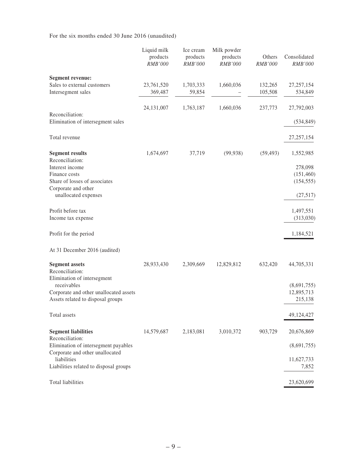For the six months ended 30 June 2016 (unaudited)

|                                                                                            | Liquid milk<br>products<br><b>RMB'000</b> | Ice cream<br>products<br>RMB'000 | Milk powder<br>products<br><b>RMB'000</b> | Others<br><b>RMB'000</b> | Consolidated<br>RMB'000              |
|--------------------------------------------------------------------------------------------|-------------------------------------------|----------------------------------|-------------------------------------------|--------------------------|--------------------------------------|
| <b>Segment revenue:</b>                                                                    |                                           |                                  |                                           |                          |                                      |
| Sales to external customers<br>Intersegment sales                                          | 23,761,520<br>369,487                     | 1,703,333<br>59,854              | 1,660,036                                 | 132,265<br>105,508       | 27, 257, 154<br>534,849              |
|                                                                                            | 24, 131, 007                              | 1,763,187                        | 1,660,036                                 | 237,773                  | 27,792,003                           |
| Reconciliation:<br>Elimination of intersegment sales                                       |                                           |                                  |                                           |                          | (534, 849)                           |
| Total revenue                                                                              |                                           |                                  |                                           |                          | 27, 257, 154                         |
| <b>Segment results</b><br>Reconciliation:<br>Interest income                               | 1,674,697                                 | 37,719                           | (99, 938)                                 | (59, 493)                | 1,552,985<br>278,098                 |
| Finance costs<br>Share of losses of associates                                             |                                           |                                  |                                           |                          | (151, 460)<br>(154, 555)             |
| Corporate and other<br>unallocated expenses                                                |                                           |                                  |                                           |                          | (27,517)                             |
| Profit before tax<br>Income tax expense                                                    |                                           |                                  |                                           |                          | 1,497,551<br>(313,030)               |
| Profit for the period                                                                      |                                           |                                  |                                           |                          | 1,184,521                            |
| At 31 December 2016 (audited)                                                              |                                           |                                  |                                           |                          |                                      |
| <b>Segment assets</b><br>Reconciliation:<br>Elimination of intersegment                    | 28,933,430                                | 2,309,669                        | 12,829,812                                | 632,420                  | 44,705,331                           |
| receivables<br>Corporate and other unallocated assets<br>Assets related to disposal groups |                                           |                                  |                                           |                          | (8,691,755)<br>12,895,713<br>215,138 |
| Total assets                                                                               |                                           |                                  |                                           |                          | 49,124,427                           |
| <b>Segment liabilities</b>                                                                 | 14,579,687                                | 2,183,081                        | 3,010,372                                 | 903,729                  | 20,676,869                           |
| Reconciliation:<br>Elimination of intersegment payables<br>Corporate and other unallocated |                                           |                                  |                                           |                          | (8,691,755)                          |
| liabilities<br>Liabilities related to disposal groups                                      |                                           |                                  |                                           |                          | 11,627,733<br>7,852                  |
| <b>Total liabilities</b>                                                                   |                                           |                                  |                                           |                          | 23,620,699                           |
|                                                                                            |                                           |                                  |                                           |                          |                                      |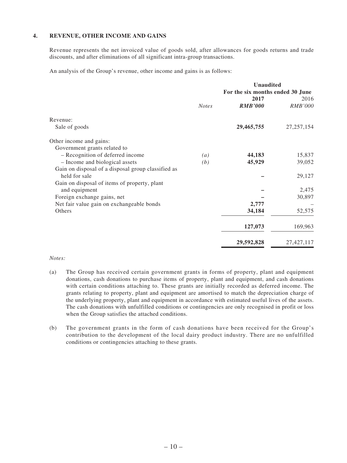### **4. REVENUE, OTHER INCOME AND GAINS**

Revenue represents the net invoiced value of goods sold, after allowances for goods returns and trade discounts, and after eliminations of all significant intra-group transactions.

An analysis of the Group's revenue, other income and gains is as follows:

|                                                    |                   | <b>Unaudited</b>                 |                |
|----------------------------------------------------|-------------------|----------------------------------|----------------|
|                                                    |                   | For the six months ended 30 June |                |
|                                                    |                   | 2017                             | 2016           |
|                                                    | <b>Notes</b>      | <b>RMB'000</b>                   | <b>RMB'000</b> |
| Revenue:                                           |                   |                                  |                |
| Sale of goods                                      |                   | 29,465,755                       | 27, 257, 154   |
| Other income and gains:                            |                   |                                  |                |
| Government grants related to                       |                   |                                  |                |
| - Recognition of deferred income                   | $\left( a\right)$ | 44,183                           | 15,837         |
| - Income and biological assets                     | (b)               | 45,929                           | 39,052         |
| Gain on disposal of a disposal group classified as |                   |                                  |                |
| held for sale                                      |                   |                                  | 29,127         |
| Gain on disposal of items of property, plant       |                   |                                  |                |
| and equipment                                      |                   |                                  | 2,475          |
| Foreign exchange gains, net                        |                   |                                  | 30,897         |
| Net fair value gain on exchangeable bonds          |                   | 2,777                            |                |
| Others                                             |                   | 34,184                           | 52,575         |
|                                                    |                   | 127,073                          | 169,963        |
|                                                    |                   |                                  |                |
|                                                    |                   | 29,592,828                       | 27,427,117     |

#### *Notes:*

- (a) The Group has received certain government grants in forms of property, plant and equipment donations, cash donations to purchase items of property, plant and equipment, and cash donations with certain conditions attaching to. These grants are initially recorded as deferred income. The grants relating to property, plant and equipment are amortised to match the depreciation charge of the underlying property, plant and equipment in accordance with estimated useful lives of the assets. The cash donations with unfulfilled conditions or contingencies are only recognised in profit or loss when the Group satisfies the attached conditions.
- (b) The government grants in the form of cash donations have been received for the Group's contribution to the development of the local dairy product industry. There are no unfulfilled conditions or contingencies attaching to these grants.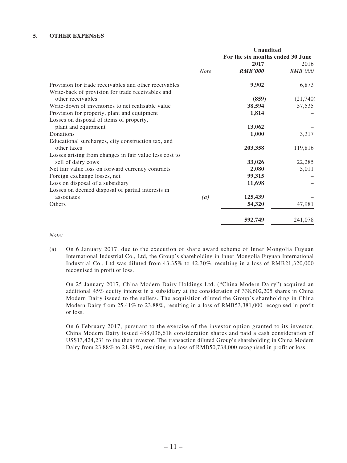#### **5. OTHER EXPENSES**

|                                                        |                   | <b>Unaudited</b><br>For the six months ended 30 June |                |
|--------------------------------------------------------|-------------------|------------------------------------------------------|----------------|
|                                                        |                   | 2017                                                 | 2016           |
|                                                        | <b>Note</b>       | <b>RMB'000</b>                                       | <b>RMB'000</b> |
| Provision for trade receivables and other receivables  |                   | 9,902                                                | 6,873          |
| Write-back of provision for trade receivables and      |                   |                                                      |                |
| other receivables                                      |                   | (859)                                                | (21,740)       |
| Write-down of inventories to net realisable value      |                   | 38,594                                               | 57,535         |
| Provision for property, plant and equipment            |                   | 1,814                                                |                |
| Losses on disposal of items of property,               |                   |                                                      |                |
| plant and equipment                                    |                   | 13,062                                               |                |
| Donations                                              |                   | 1,000                                                | 3,317          |
| Educational surcharges, city construction tax, and     |                   |                                                      |                |
| other taxes                                            |                   | 203,358                                              | 119,816        |
| Losses arising from changes in fair value less cost to |                   |                                                      |                |
| sell of dairy cows                                     |                   | 33,026                                               | 22,285         |
| Net fair value loss on forward currency contracts      |                   | 2,080                                                | 5,011          |
| Foreign exchange losses, net                           |                   | 99,315                                               |                |
| Loss on disposal of a subsidiary                       |                   | 11,698                                               |                |
| Losses on deemed disposal of partial interests in      |                   |                                                      |                |
| associates                                             | $\left( a\right)$ | 125,439                                              |                |
| Others                                                 |                   | 54,320                                               | 47,981         |
|                                                        |                   | 592,749                                              | 241,078        |

#### *Note:*

(a) On 6 January 2017, due to the execution of share award scheme of Inner Mongolia Fuyuan International Industrial Co., Ltd, the Group's shareholding in Inner Mongolia Fuyuan International Industrial Co., Ltd was diluted from 43.35% to 42.30%, resulting in a loss of RMB21,320,000 recognised in profit or loss.

On 25 January 2017, China Modern Dairy Holdings Ltd. ("China Modern Dairy") acquired an additional 45% equity interest in a subsidiary at the consideration of 338,602,205 shares in China Modern Dairy issued to the sellers. The acquisition diluted the Group's shareholding in China Modern Dairy from 25.41% to 23.88%, resulting in a loss of RMB53,381,000 recognised in profit or loss.

On 6 February 2017, pursuant to the exercise of the investor option granted to its investor, China Modern Dairy issued 488,036,618 consideration shares and paid a cash consideration of US\$13,424,231 to the then investor. The transaction diluted Group's shareholding in China Modern Dairy from 23.88% to 21.98%, resulting in a loss of RMB50,738,000 recognised in profit or loss.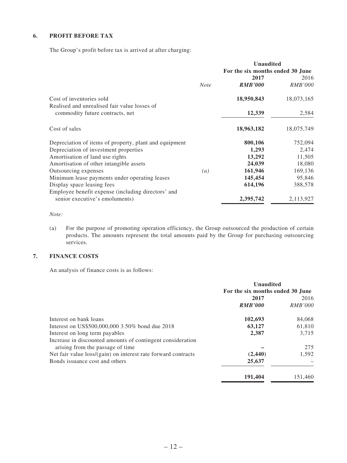### **6. PROFIT BEFORE TAX**

The Group's profit before tax is arrived at after charging:

|                                                                                      |                  | <b>Unaudited</b><br>For the six months ended 30 June |                        |
|--------------------------------------------------------------------------------------|------------------|------------------------------------------------------|------------------------|
|                                                                                      | <b>Note</b>      | 2017<br><b>RMB'000</b>                               | 2016<br><i>RMB'000</i> |
| Cost of inventories sold<br>Realised and unrealised fair value losses of             |                  | 18,950,843                                           | 18,073,165             |
| commodity future contracts, net                                                      |                  | 12,339                                               | 2,584                  |
| Cost of sales                                                                        |                  | 18,963,182                                           | 18,075,749             |
| Depreciation of items of property, plant and equipment                               |                  | 800,106                                              | 752,094                |
| Depreciation of investment properties                                                |                  | 1,293                                                | 2,474                  |
| Amortisation of land use rights                                                      |                  | 13,292                                               | 11,505                 |
| Amortisation of other intangible assets                                              |                  | 24,039                                               | 18,080                 |
| Outsourcing expenses                                                                 | $\left(a\right)$ | 161,946                                              | 169,136                |
| Minimum lease payments under operating leases                                        |                  | 145,454                                              | 95,846                 |
| Display space leasing fees                                                           |                  | 614,196                                              | 388,578                |
| Employee benefit expense (including directors' and<br>senior executive's emoluments) |                  | 2,395,742                                            | 2,113,927              |

#### *Note:*

(a) For the purpose of promoting operation efficiency, the Group outsourced the production of certain products. The amounts represent the total amounts paid by the Group for purchasing outsourcing services.

# **7. FINANCE COSTS**

An analysis of finance costs is as follows:

|                                                               |                                  | <b>Unaudited</b> |  |
|---------------------------------------------------------------|----------------------------------|------------------|--|
|                                                               | For the six months ended 30 June |                  |  |
|                                                               | 2017                             | 2016             |  |
|                                                               | <b>RMB'000</b>                   | <i>RMB'000</i>   |  |
| Interest on bank loans                                        | 102,693                          | 84,068           |  |
| Interest on US\$500,000,000 3.50% bond due 2018               | 63,127                           | 61,810           |  |
| Interest on long term payables                                | 2,387                            | 3,715            |  |
| Increase in discounted amounts of contingent consideration    |                                  |                  |  |
| arising from the passage of time                              |                                  | 275              |  |
| Net fair value loss/(gain) on interest rate forward contracts | (2,440)                          | 1,592            |  |
| Bonds issuance cost and others                                | 25,637                           |                  |  |
|                                                               | 191,404                          | 151.460          |  |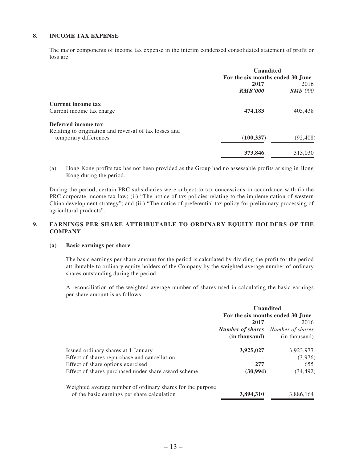### **8. INCOME TAX EXPENSE**

The major components of income tax expense in the interim condensed consolidated statement of profit or loss are:

|                                                        | <b>Unaudited</b>                 |                |  |
|--------------------------------------------------------|----------------------------------|----------------|--|
|                                                        | For the six months ended 30 June |                |  |
|                                                        | 2017                             | 2016           |  |
|                                                        | <b>RMB'000</b>                   | <i>RMB'000</i> |  |
| Current income tax                                     |                                  |                |  |
| Current income tax charge                              | 474,183                          | 405,438        |  |
| Deferred income tax                                    |                                  |                |  |
| Relating to origination and reversal of tax losses and |                                  |                |  |
| temporary differences                                  | (100, 337)                       | (92, 408)      |  |
|                                                        | 373,846                          | 313,030        |  |

(a) Hong Kong profits tax has not been provided as the Group had no assessable profits arising in Hong Kong during the period.

During the period, certain PRC subsidiaries were subject to tax concessions in accordance with (i) the PRC corporate income tax law; (ii) "The notice of tax policies relating to the implementation of western China development strategy"; and (iii) "The notice of preferential tax policy for preliminary processing of agricultural products".

### **9. EARNINGS PER SHARE ATTRIBUTABLE TO ORDINARY EQUITY HOLDERS OF THE COMPANY**

#### **(a) Basic earnings per share**

The basic earnings per share amount for the period is calculated by dividing the profit for the period attributable to ordinary equity holders of the Company by the weighted average number of ordinary shares outstanding during the period.

A reconciliation of the weighted average number of shares used in calculating the basic earnings per share amount is as follows:

|                                                            | <b>Unaudited</b><br>For the six months ended 30 June |               |
|------------------------------------------------------------|------------------------------------------------------|---------------|
|                                                            |                                                      |               |
|                                                            | 2017                                                 | 2016          |
|                                                            | <b>Number of shares</b> Number of shares             |               |
|                                                            | (in thousand)                                        | (in thousand) |
| Issued ordinary shares at 1 January                        | 3,925,027                                            | 3,923,977     |
| Effect of shares repurchase and cancellation               |                                                      | (3,976)       |
| Effect of share options exercised                          | 277                                                  | 655           |
| Effect of shares purchased under share award scheme        | (30, 994)                                            | (34, 492)     |
| Weighted average number of ordinary shares for the purpose |                                                      |               |
| of the basic earnings per share calculation                | 3,894,310                                            | 3,886,164     |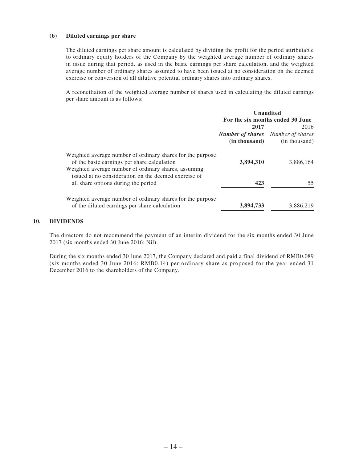#### **(b) Diluted earnings per share**

The diluted earnings per share amount is calculated by dividing the profit for the period attributable to ordinary equity holders of the Company by the weighted average number of ordinary shares in issue during that period, as used in the basic earnings per share calculation, and the weighted average number of ordinary shares assumed to have been issued at no consideration on the deemed exercise or conversion of all dilutive potential ordinary shares into ordinary shares.

A reconciliation of the weighted average number of shares used in calculating the diluted earnings per share amount is as follows:

|                                                                                                                                                                   | <b>Unaudited</b>                         |               |
|-------------------------------------------------------------------------------------------------------------------------------------------------------------------|------------------------------------------|---------------|
|                                                                                                                                                                   | For the six months ended 30 June         |               |
|                                                                                                                                                                   | 2017                                     | 2016          |
|                                                                                                                                                                   | <b>Number of shares</b> Number of shares |               |
|                                                                                                                                                                   | (in thousand)                            | (in thousand) |
| Weighted average number of ordinary shares for the purpose<br>of the basic earnings per share calculation<br>Weighted average number of ordinary shares, assuming | 3,894,310                                | 3,886,164     |
| issued at no consideration on the deemed exercise of<br>all share options during the period                                                                       | 423                                      | 55            |
| Weighted average number of ordinary shares for the purpose<br>of the diluted earnings per share calculation                                                       | 3,894,733                                | 3,886,219     |

#### **10. DIVIDENDS**

The directors do not recommend the payment of an interim dividend for the six months ended 30 June 2017 (six months ended 30 June 2016: Nil).

During the six months ended 30 June 2017, the Company declared and paid a final dividend of RMB0.089 (six months ended 30 June 2016: RMB0.14) per ordinary share as proposed for the year ended 31 December 2016 to the shareholders of the Company.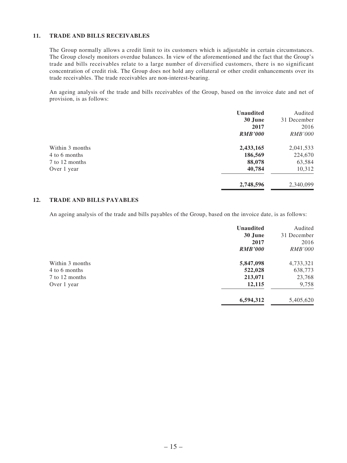#### **11. TRADE AND BILLS RECEIVABLES**

The Group normally allows a credit limit to its customers which is adjustable in certain circumstances. The Group closely monitors overdue balances. In view of the aforementioned and the fact that the Group's trade and bills receivables relate to a large number of diversified customers, there is no significant concentration of credit risk. The Group does not hold any collateral or other credit enhancements over its trade receivables. The trade receivables are non-interest-bearing.

An ageing analysis of the trade and bills receivables of the Group, based on the invoice date and net of provision, is as follows:

|                 | <b>Unaudited</b> | Audited        |
|-----------------|------------------|----------------|
|                 | 30 June          | 31 December    |
|                 | 2017             | 2016           |
|                 | <b>RMB'000</b>   | <i>RMB'000</i> |
| Within 3 months | 2,433,165        | 2,041,533      |
| 4 to 6 months   | 186,569          | 224,670        |
| 7 to 12 months  | 88,078           | 63,584         |
| Over 1 year     | 40,784           | 10,312         |
|                 | 2,748,596        | 2,340,099      |

### **12. TRADE AND BILLS PAYABLES**

An ageing analysis of the trade and bills payables of the Group, based on the invoice date, is as follows:

|                                  | <b>Unaudited</b><br>30 June<br>2017<br><b>RMB'000</b> | Audited<br>31 December<br>2016<br><b>RMB'000</b> |
|----------------------------------|-------------------------------------------------------|--------------------------------------------------|
| Within 3 months<br>4 to 6 months | 5,847,098<br>522,028                                  | 4,733,321<br>638,773                             |
| 7 to 12 months                   | 213,071                                               | 23,768                                           |
| Over 1 year                      | 12,115                                                | 9,758                                            |
|                                  | 6,594,312                                             | 5,405,620                                        |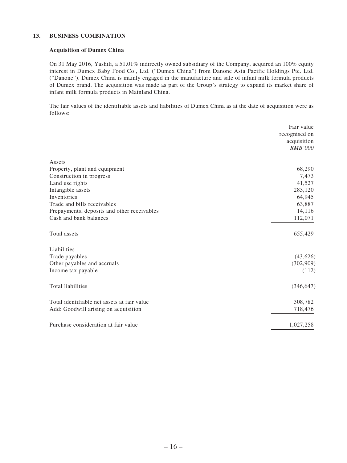#### **13. BUSINESS COMBINATION**

#### **Acquisition of Dumex China**

On 31 May 2016, Yashili, a 51.01% indirectly owned subsidiary of the Company, acquired an 100% equity interest in Dumex Baby Food Co., Ltd. ("Dumex China") from Danone Asia Pacific Holdings Pte. Ltd. ("Danone"). Dumex China is mainly engaged in the manufacture and sale of infant milk formula products of Dumex brand. The acquisition was made as part of the Group's strategy to expand its market share of infant milk formula products in Mainland China.

The fair values of the identifiable assets and liabilities of Dumex China as at the date of acquisition were as follows:

|                                             | Fair value                    |
|---------------------------------------------|-------------------------------|
|                                             | recognised on                 |
|                                             | acquisition<br><b>RMB'000</b> |
|                                             |                               |
| Assets                                      |                               |
| Property, plant and equipment               | 68,290                        |
| Construction in progress                    | 7,473                         |
| Land use rights                             | 41,527                        |
| Intangible assets                           | 283,120                       |
| Inventories                                 | 64,945                        |
| Trade and bills receivables                 | 63,887                        |
| Prepayments, deposits and other receivables | 14,116                        |
| Cash and bank balances                      | 112,071                       |
| Total assets                                | 655,429                       |
| Liabilities                                 |                               |
| Trade payables                              | (43, 626)                     |
| Other payables and accruals                 | (302,909)                     |
| Income tax payable                          | (112)                         |
| Total liabilities                           | (346, 647)                    |
| Total identifiable net assets at fair value | 308,782                       |
| Add: Goodwill arising on acquisition        | 718,476                       |
| Purchase consideration at fair value        | 1,027,258                     |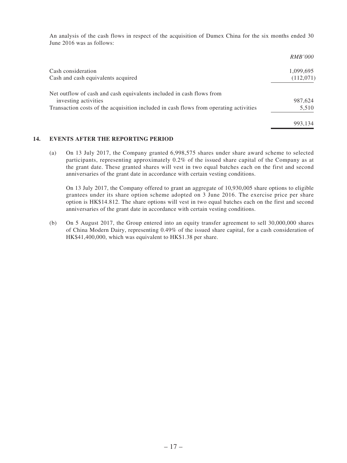An analysis of the cash flows in respect of the acquisition of Dumex China for the six months ended 30 June 2016 was as follows:

|                                                                                       | <i>RMB'000</i> |
|---------------------------------------------------------------------------------------|----------------|
| Cash consideration                                                                    | 1,099,695      |
| Cash and cash equivalents acquired                                                    | (112,071)      |
| Net outflow of cash and cash equivalents included in cash flows from                  |                |
| investing activities                                                                  | 987,624        |
| Transaction costs of the acquisition included in cash flows from operating activities | 5,510          |
|                                                                                       | 993.134        |

#### **14. EVENTS AFTER THE REPORTING PERIOD**

(a) On 13 July 2017, the Company granted 6,998,575 shares under share award scheme to selected participants, representing approximately 0.2% of the issued share capital of the Company as at the grant date. These granted shares will vest in two equal batches each on the first and second anniversaries of the grant date in accordance with certain vesting conditions.

On 13 July 2017, the Company offered to grant an aggregate of 10,930,005 share options to eligible grantees under its share option scheme adopted on 3 June 2016. The exercise price per share option is HK\$14.812. The share options will vest in two equal batches each on the first and second anniversaries of the grant date in accordance with certain vesting conditions.

(b) On 5 August 2017, the Group entered into an equity transfer agreement to sell 30,000,000 shares of China Modern Dairy, representing 0.49% of the issued share capital, for a cash consideration of HK\$41,400,000, which was equivalent to HK\$1.38 per share.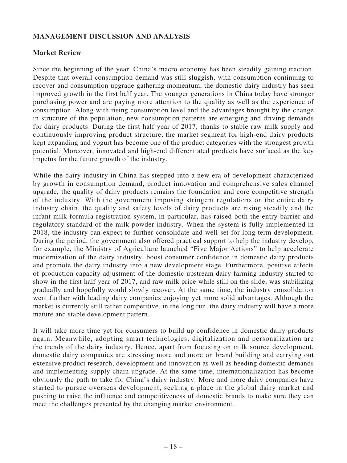# **MANAGEMENT DISCUSSION AND ANALYSIS**

# **Market Review**

Since the beginning of the year, China's macro economy has been steadily gaining traction. Despite that overall consumption demand was still sluggish, with consumption continuing to recover and consumption upgrade gathering momentum, the domestic dairy industry has seen improved growth in the first half year. The younger generations in China today have stronger purchasing power and are paying more attention to the quality as well as the experience of consumption. Along with rising consumption level and the advantages brought by the change in structure of the population, new consumption patterns are emerging and driving demands for dairy products. During the first half year of 2017, thanks to stable raw milk supply and continuously improving product structure, the market segment for high-end dairy products kept expanding and yogurt has become one of the product categories with the strongest growth potential. Moreover, innovated and high-end differentiated products have surfaced as the key impetus for the future growth of the industry.

While the dairy industry in China has stepped into a new era of development characterized by growth in consumption demand, product innovation and comprehensive sales channel upgrade, the quality of dairy products remains the foundation and core competitive strength of the industry. With the government imposing stringent regulations on the entire dairy industry chain, the quality and safety levels of dairy products are rising steadily and the infant milk formula registration system, in particular, has raised both the entry barrier and regulatory standard of the milk powder industry. When the system is fully implemented in 2018, the industry can expect to further consolidate and well set for long-term development. During the period, the government also offered practical support to help the industry develop, for example, the Ministry of Agriculture launched "Five Major Actions" to help accelerate modernization of the dairy industry, boost consumer confidence in domestic dairy products and promote the dairy industry into a new development stage. Furthermore, positive effects of production capacity adjustment of the domestic upstream dairy farming industry started to show in the first half year of 2017, and raw milk price while still on the slide, was stabilizing gradually and hopefully would slowly recover. At the same time, the industry consolidation went further with leading dairy companies enjoying yet more solid advantages. Although the market is currently still rather competitive, in the long run, the dairy industry will have a more mature and stable development pattern.

It will take more time yet for consumers to build up confidence in domestic dairy products again. Meanwhile, adopting smart technologies, digitalization and personalization are the trends of the dairy industry. Hence, apart from focusing on milk source development, domestic dairy companies are stressing more and more on brand building and carrying out extensive product research, development and innovation as well as heeding domestic demands and implementing supply chain upgrade. At the same time, internationalization has become obviously the path to take for China's dairy industry. More and more dairy companies have started to pursue overseas development, seeking a place in the global dairy market and pushing to raise the influence and competitiveness of domestic brands to make sure they can meet the challenges presented by the changing market environment.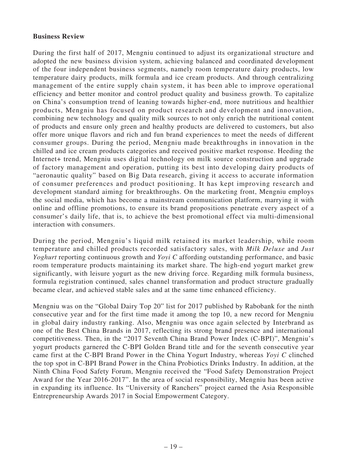### **Business Review**

During the first half of 2017, Mengniu continued to adjust its organizational structure and adopted the new business division system, achieving balanced and coordinated development of the four independent business segments, namely room temperature dairy products, low temperature dairy products, milk formula and ice cream products. And through centralizing management of the entire supply chain system, it has been able to improve operational efficiency and better monitor and control product quality and business growth. To capitalize on China's consumption trend of leaning towards higher-end, more nutritious and healthier products, Mengniu has focused on product research and development and innovation, combining new technology and quality milk sources to not only enrich the nutritional content of products and ensure only green and healthy products are delivered to customers, but also offer more unique flavors and rich and fun brand experiences to meet the needs of different consumer groups. During the period, Mengniu made breakthroughs in innovation in the chilled and ice cream products categories and received positive market response. Heeding the Internet+ trend, Mengniu uses digital technology on milk source construction and upgrade of factory management and operation, putting its best into developing dairy products of "aeronautic quality" based on Big Data research, giving it access to accurate information of consumer preferences and product positioning. It has kept improving research and development standard aiming for breakthroughs. On the marketing front, Mengniu employs the social media, which has become a mainstream communication platform, marrying it with online and offline promotions, to ensure its brand propositions penetrate every aspect of a consumer's daily life, that is, to achieve the best promotional effect via multi-dimensional interaction with consumers.

During the period, Mengniu's liquid milk retained its market leadership, while room temperature and chilled products recorded satisfactory sales, with *Milk Deluxe* and *Just Yoghurt* reporting continuous growth and *Yoyi C* affording outstanding performance, and basic room temperature products maintaining its market share. The high-end yogurt market grew significantly, with leisure yogurt as the new driving force. Regarding milk formula business, formula registration continued, sales channel transformation and product structure gradually became clear, and achieved stable sales and at the same time enhanced efficiency.

Mengniu was on the "Global Dairy Top 20" list for 2017 published by Rabobank for the ninth consecutive year and for the first time made it among the top 10, a new record for Mengniu in global dairy industry ranking. Also, Mengniu was once again selected by Interbrand as one of the Best China Brands in 2017, reflecting its strong brand presence and international competitiveness. Then, in the "2017 Seventh China Brand Power Index (C-BPI)", Mengniu's yogurt products garnered the C-BPI Golden Brand title and for the seventh consecutive year came first at the C-BPI Brand Power in the China Yogurt Industry, whereas *Yoyi C* clinched the top spot in C-BPI Brand Power in the China Probiotics Drinks Industry. In addition, at the Ninth China Food Safety Forum, Mengniu received the "Food Safety Demonstration Project Award for the Year 2016-2017". In the area of social responsibility, Mengniu has been active in expanding its influence. Its "University of Ranchers" project earned the Asia Responsible Entrepreneurship Awards 2017 in Social Empowerment Category.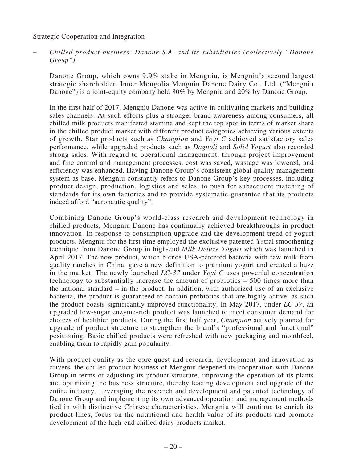### Strategic Cooperation and Integration

*– Chilled product business: Danone S.A. and its subsidiaries (collectively "Danone Group")*

Danone Group, which owns 9.9% stake in Mengniu, is Mengniu's second largest strategic shareholder. Inner Mongolia Mengniu Danone Dairy Co., Ltd. ("Mengniu Danone") is a joint-equity company held 80% by Mengniu and 20% by Danone Group.

In the first half of 2017, Mengniu Danone was active in cultivating markets and building sales channels. At such efforts plus a stronger brand awareness among consumers, all chilled milk products manifested stamina and kept the top spot in terms of market share in the chilled product market with different product categories achieving various extents of growth. Star products such as *Champion* and *Yoyi C* achieved satisfactory sales performance, while upgraded products such as *Daguoli* and *Solid Yogurt* also recorded strong sales. With regard to operational management, through project improvement and fine control and management processes, cost was saved, wastage was lowered, and efficiency was enhanced. Having Danone Group's consistent global quality management system as base, Mengniu constantly refers to Danone Group's key processes, including product design, production, logistics and sales, to push for subsequent matching of standards for its own factories and to provide systematic guarantee that its products indeed afford "aeronautic quality".

Combining Danone Group's world-class research and development technology in chilled products, Mengniu Danone has continually achieved breakthroughs in product innovation. In response to consumption upgrade and the development trend of yogurt products, Mengniu for the first time employed the exclusive patented Ystral smoothening technique from Danone Group in high-end *Milk Deluxe Yogurt* which was launched in April 2017. The new product, which blends USA-patented bacteria with raw milk from quality ranches in China, gave a new definition to premium yogurt and created a buzz in the market. The newly launched *LC-37* under *Yoyi C* uses powerful concentration technology to substantially increase the amount of probiotics – 500 times more than the national standard – in the product. In addition, with authorized use of an exclusive bacteria, the product is guaranteed to contain probiotics that are highly active, as such the product boasts significantly improved functionality. In May 2017, under *LC-37*, an upgraded low-sugar enzyme-rich product was launched to meet consumer demand for choices of healthier products. During the first half year, *Champion* actively planned for upgrade of product structure to strengthen the brand's "professional and functional" positioning. Basic chilled products were refreshed with new packaging and mouthfeel, enabling them to rapidly gain popularity.

With product quality as the core quest and research, development and innovation as drivers, the chilled product business of Mengniu deepened its cooperation with Danone Group in terms of adjusting its product structure, improving the operation of its plants and optimizing the business structure, thereby leading development and upgrade of the entire industry. Leveraging the research and development and patented technology of Danone Group and implementing its own advanced operation and management methods tied in with distinctive Chinese characteristics, Mengniu will continue to enrich its product lines, focus on the nutritional and health value of its products and promote development of the high-end chilled dairy products market.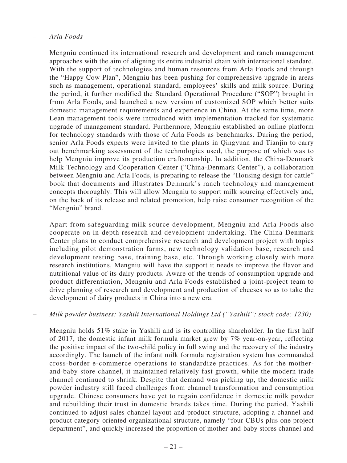### *– Arla Foods*

Mengniu continued its international research and development and ranch management approaches with the aim of aligning its entire industrial chain with international standard. With the support of technologies and human resources from Arla Foods and through the "Happy Cow Plan", Mengniu has been pushing for comprehensive upgrade in areas such as management, operational standard, employees' skills and milk source. During the period, it further modified the Standard Operational Procedure ("SOP") brought in from Arla Foods, and launched a new version of customized SOP which better suits domestic management requirements and experience in China. At the same time, more Lean management tools were introduced with implementation tracked for systematic upgrade of management standard. Furthermore, Mengniu established an online platform for technology standards with those of Arla Foods as benchmarks. During the period, senior Arla Foods experts were invited to the plants in Qingyuan and Tianjin to carry out benchmarking assessment of the technologies used, the purpose of which was to help Mengniu improve its production craftsmanship. In addition, the China-Denmark Milk Technology and Cooperation Center ("China-Denmark Center"), a collaboration between Mengniu and Arla Foods, is preparing to release the "Housing design for cattle" book that documents and illustrates Denmark's ranch technology and management concepts thoroughly. This will allow Mengniu to support milk sourcing effectively and, on the back of its release and related promotion, help raise consumer recognition of the "Mengniu" brand.

Apart from safeguarding milk source development, Mengniu and Arla Foods also cooperate on in-depth research and development undertaking. The China-Denmark Center plans to conduct comprehensive research and development project with topics including pilot demonstration farms, new technology validation base, research and development testing base, training base, etc. Through working closely with more research institutions, Mengniu will have the support it needs to improve the flavor and nutritional value of its dairy products. Aware of the trends of consumption upgrade and product differentiation, Mengniu and Arla Foods established a joint-project team to drive planning of research and development and production of cheeses so as to take the development of dairy products in China into a new era.

### *– Milk powder business: Yashili International Holdings Ltd ("Yashili"; stock code: 1230)*

Mengniu holds 51% stake in Yashili and is its controlling shareholder. In the first half of 2017, the domestic infant milk formula market grew by 7% year-on-year, reflecting the positive impact of the two-child policy in full swing and the recovery of the industry accordingly. The launch of the infant milk formula registration system has commanded cross-border e-commerce operations to standardize practices. As for the motherand-baby store channel, it maintained relatively fast growth, while the modern trade channel continued to shrink. Despite that demand was picking up, the domestic milk powder industry still faced challenges from channel transformation and consumption upgrade. Chinese consumers have yet to regain confidence in domestic milk powder and rebuilding their trust in domestic brands takes time. During the period, Yashili continued to adjust sales channel layout and product structure, adopting a channel and product category-oriented organizational structure, namely "four CBUs plus one project department", and quickly increased the proportion of mother-and-baby stores channel and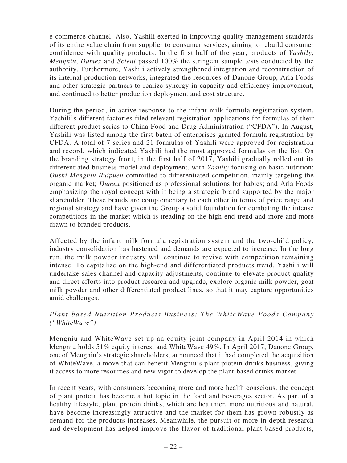e-commerce channel. Also, Yashili exerted in improving quality management standards of its entire value chain from supplier to consumer services, aiming to rebuild consumer confidence with quality products. In the first half of the year, products of *Yashily*, *Mengniu*, *Dumex* and *Scient* passed 100% the stringent sample tests conducted by the authority. Furthermore, Yashili actively strengthened integration and reconstruction of its internal production networks, integrated the resources of Danone Group, Arla Foods and other strategic partners to realize synergy in capacity and efficiency improvement, and continued to better production deployment and cost structure.

During the period, in active response to the infant milk formula registration system, Yashili's different factories filed relevant registration applications for formulas of their different product series to China Food and Drug Administration ("CFDA"). In August, Yashili was listed among the first batch of enterprises granted formula registration by CFDA. A total of 7 series and 21 formulas of Yashili were approved for registration and record, which indicated Yashili had the most approved formulas on the list. On the branding strategy front, in the first half of 2017, Yashili gradually rolled out its differentiated business model and deployment, with *Yashily* focusing on basic nutrition; *Oushi Mengniu Ruipuen* committed to differentiated competition, mainly targeting the organic market; *Dumex* positioned as professional solutions for babies; and Arla Foods emphasizing the royal concept with it being a strategic brand supported by the major shareholder. These brands are complementary to each other in terms of price range and regional strategy and have given the Group a solid foundation for combating the intense competitions in the market which is treading on the high-end trend and more and more drawn to branded products.

Affected by the infant milk formula registration system and the two-child policy, industry consolidation has hastened and demands are expected to increase. In the long run, the milk powder industry will continue to revive with competition remaining intense. To capitalize on the high-end and differentiated products trend, Yashili will undertake sales channel and capacity adjustments, continue to elevate product quality and direct efforts into product research and upgrade, explore organic milk powder, goat milk powder and other differentiated product lines, so that it may capture opportunities amid challenges.

– *Plant-based Nutrition Products Business: The WhiteWave Foods Company ("WhiteWave")*

Mengniu and WhiteWave set up an equity joint company in April 2014 in which Mengniu holds 51% equity interest and WhiteWave 49%. In April 2017, Danone Group, one of Mengniu's strategic shareholders, announced that it had completed the acquisition of WhiteWave, a move that can benefit Mengniu's plant protein drinks business, giving it access to more resources and new vigor to develop the plant-based drinks market.

In recent years, with consumers becoming more and more health conscious, the concept of plant protein has become a hot topic in the food and beverages sector. As part of a healthy lifestyle, plant protein drinks, which are healthier, more nutritious and natural, have become increasingly attractive and the market for them has grown robustly as demand for the products increases. Meanwhile, the pursuit of more in-depth research and development has helped improve the flavor of traditional plant-based products,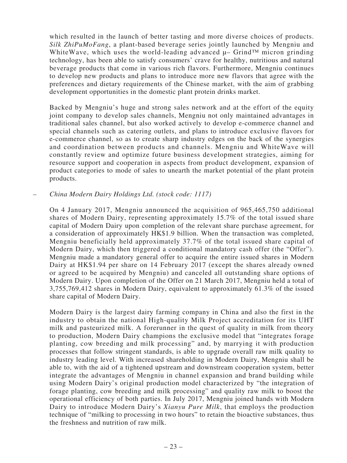which resulted in the launch of better tasting and more diverse choices of products. *Silk ZhiPuMoFang*, a plant-based beverage series jointly launched by Mengniu and WhiteWave, which uses the world-leading advanced  $\mu$ – Grind<sup>™</sup> micron grinding technology, has been able to satisfy consumers' crave for healthy, nutritious and natural beverage products that come in various rich flavors. Furthermore, Mengniu continues to develop new products and plans to introduce more new flavors that agree with the preferences and dietary requirements of the Chinese market, with the aim of grabbing development opportunities in the domestic plant protein drinks market.

Backed by Mengniu's huge and strong sales network and at the effort of the equity joint company to develop sales channels, Mengniu not only maintained advantages in traditional sales channel, but also worked actively to develop e-commerce channel and special channels such as catering outlets, and plans to introduce exclusive flavors for e-commerce channel, so as to create sharp industry edges on the back of the synergies and coordination between products and channels. Mengniu and WhiteWave will constantly review and optimize future business development strategies, aiming for resource support and cooperation in aspects from product development, expansion of product categories to mode of sales to unearth the market potential of the plant protein products.

### *– China Modern Dairy Holdings Ltd. (stock code: 1117)*

On 4 January 2017, Mengniu announced the acquisition of 965,465,750 additional shares of Modern Dairy, representing approximately 15.7% of the total issued share capital of Modern Dairy upon completion of the relevant share purchase agreement, for a consideration of approximately HK\$1.9 billion. When the transaction was completed, Mengniu beneficially held approximately 37.7% of the total issued share capital of Modern Dairy, which then triggered a conditional mandatory cash offer (the "Offer"). Mengniu made a mandatory general offer to acquire the entire issued shares in Modern Dairy at HK\$1.94 per share on 14 February 2017 (except the shares already owned or agreed to be acquired by Mengniu) and canceled all outstanding share options of Modern Dairy. Upon completion of the Offer on 21 March 2017, Mengniu held a total of 3,755,769,412 shares in Modern Dairy, equivalent to approximately 61.3% of the issued share capital of Modern Dairy.

Modern Dairy is the largest dairy farming company in China and also the first in the industry to obtain the national High-quality Milk Project accreditation for its UHT milk and pasteurized milk. A forerunner in the quest of quality in milk from theory to production, Modern Dairy champions the exclusive model that "integrates forage planting, cow breeding and milk processing" and, by marrying it with production processes that follow stringent standards, is able to upgrade overall raw milk quality to industry leading level. With increased shareholding in Modern Dairy, Mengniu shall be able to, with the aid of a tightened upstream and downstream cooperation system, better integrate the advantages of Mengniu in channel expansion and brand building while using Modern Dairy's original production model characterized by "the integration of forage planting, cow breeding and milk processing" and quality raw milk to boost the operational efficiency of both parties. In July 2017, Mengniu joined hands with Modern Dairy to introduce Modern Dairy's *Xianyu Pure Milk*, that employs the production technique of "milking to processing in two hours" to retain the bioactive substances, thus the freshness and nutrition of raw milk.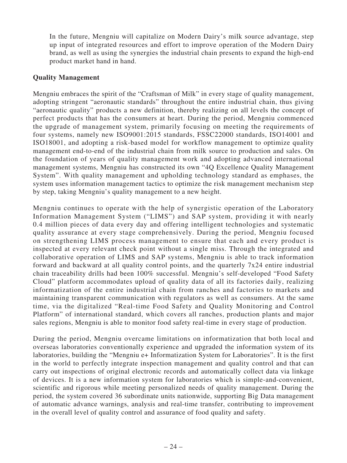In the future, Mengniu will capitalize on Modern Dairy's milk source advantage, step up input of integrated resources and effort to improve operation of the Modern Dairy brand, as well as using the synergies the industrial chain presents to expand the high-end product market hand in hand.

### **Quality Management**

Mengniu embraces the spirit of the "Craftsman of Milk" in every stage of quality management, adopting stringent "aeronautic standards" throughout the entire industrial chain, thus giving "aeronautic quality" products a new definition, thereby realizing on all levels the concept of perfect products that has the consumers at heart. During the period, Mengniu commenced the upgrade of management system, primarily focusing on meeting the requirements of four systems, namely new ISO9001:2015 standards, FSSC22000 standards, ISO14001 and ISO18001, and adopting a risk-based model for workflow management to optimize quality management end-to-end of the industrial chain from milk source to production and sales. On the foundation of years of quality management work and adopting advanced international management systems, Mengniu has constructed its own "4Q Excellence Quality Management System". With quality management and upholding technology standard as emphases, the system uses information management tactics to optimize the risk management mechanism step by step, taking Mengniu's quality management to a new height.

Mengniu continues to operate with the help of synergistic operation of the Laboratory Information Management System ("LIMS") and SAP system, providing it with nearly 0.4 million pieces of data every day and offering intelligent technologies and systematic quality assurance at every stage comprehensively. During the period, Mengniu focused on strengthening LIMS process management to ensure that each and every product is inspected at every relevant check point without a single miss. Through the integrated and collaborative operation of LIMS and SAP systems, Mengniu is able to track information forward and backward at all quality control points, and the quarterly 7x24 entire industrial chain traceability drills had been 100% successful. Mengniu's self-developed "Food Safety Cloud" platform accommodates upload of quality data of all its factories daily, realizing informatization of the entire industrial chain from ranches and factories to markets and maintaining transparent communication with regulators as well as consumers. At the same time, via the digitalized "Real-time Food Safety and Quality Monitoring and Control Platform" of international standard, which covers all ranches, production plants and major sales regions, Mengniu is able to monitor food safety real-time in every stage of production.

During the period, Mengniu overcame limitations on informatization that both local and overseas laboratories conventionally experience and upgraded the information system of its laboratories, building the "Mengniu e+ Informatization System for Laboratories". It is the first in the world to perfectly integrate inspection management and quality control and that can carry out inspections of original electronic records and automatically collect data via linkage of devices. It is a new information system for laboratories which is simple-and-convenient, scientific and rigorous while meeting personalized needs of quality management. During the period, the system covered 36 subordinate units nationwide, supporting Big Data management of automatic advance warnings, analysis and real-time transfer, contributing to improvement in the overall level of quality control and assurance of food quality and safety.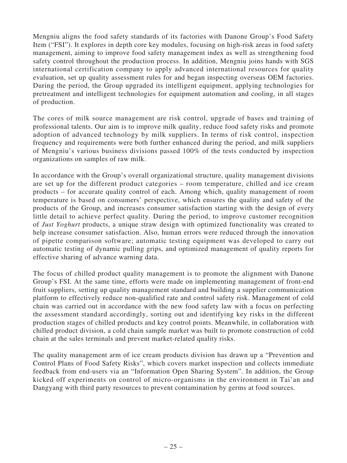Mengniu aligns the food safety standards of its factories with Danone Group's Food Safety Item ("FSI"). It explores in depth core key modules, focusing on high-risk areas in food safety management, aiming to improve food safety management index as well as strengthening food safety control throughout the production process. In addition, Mengniu joins hands with SGS international certification company to apply advanced international resources for quality evaluation, set up quality assessment rules for and began inspecting overseas OEM factories. During the period, the Group upgraded its intelligent equipment, applying technologies for pretreatment and intelligent technologies for equipment automation and cooling, in all stages of production.

The cores of milk source management are risk control, upgrade of bases and training of professional talents. Our aim is to improve milk quality, reduce food safety risks and promote adoption of advanced technology by milk suppliers. In terms of risk control, inspection frequency and requirements were both further enhanced during the period, and milk suppliers of Mengniu's various business divisions passed 100% of the tests conducted by inspection organizations on samples of raw milk.

In accordance with the Group's overall organizational structure, quality management divisions are set up for the different product categories – room temperature, chilled and ice cream products – for accurate quality control of each. Among which, quality management of room temperature is based on consumers' perspective, which ensures the quality and safety of the products of the Group, and increases consumer satisfaction starting with the design of every little detail to achieve perfect quality. During the period, to improve customer recognition of *Just Yoghurt* products, a unique straw design with optimized functionality was created to help increase consumer satisfaction. Also, human errors were reduced through the innovation of pipette comparison software; automatic testing equipment was developed to carry out automatic testing of dynamic pulling grips, and optimized management of quality reports for effective sharing of advance warning data.

The focus of chilled product quality management is to promote the alignment with Danone Group's FSI. At the same time, efforts were made on implementing management of front-end fruit suppliers, setting up quality management standard and building a supplier communication platform to effectively reduce non-qualified rate and control safety risk. Management of cold chain was carried out in accordance with the new food safety law with a focus on perfecting the assessment standard accordingly, sorting out and identifying key risks in the different production stages of chilled products and key control points. Meanwhile, in collaboration with chilled product division, a cold chain sample market was built to promote construction of cold chain at the sales terminals and prevent market-related quality risks.

The quality management arm of ice cream products division has drawn up a "Prevention and Control Plans of Food Safety Risks", which covers market inspection and collects immediate feedback from end-users via an "Information Open Sharing System". In addition, the Group kicked off experiments on control of micro-organisms in the environment in Tai'an and Dangyang with third party resources to prevent contamination by germs at food sources.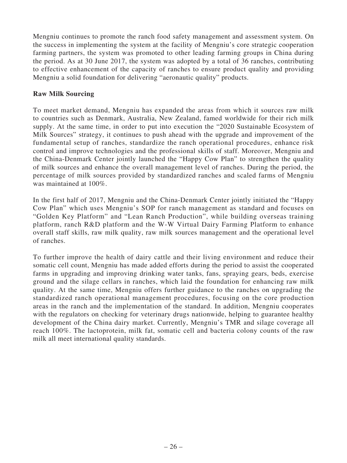Mengniu continues to promote the ranch food safety management and assessment system. On the success in implementing the system at the facility of Mengniu's core strategic cooperation farming partners, the system was promoted to other leading farming groups in China during the period. As at 30 June 2017, the system was adopted by a total of 36 ranches, contributing to effective enhancement of the capacity of ranches to ensure product quality and providing Mengniu a solid foundation for delivering "aeronautic quality" products.

# **Raw Milk Sourcing**

To meet market demand, Mengniu has expanded the areas from which it sources raw milk to countries such as Denmark, Australia, New Zealand, famed worldwide for their rich milk supply. At the same time, in order to put into execution the "2020 Sustainable Ecosystem of Milk Sources" strategy, it continues to push ahead with the upgrade and improvement of the fundamental setup of ranches, standardize the ranch operational procedures, enhance risk control and improve technologies and the professional skills of staff. Moreover, Mengniu and the China-Denmark Center jointly launched the "Happy Cow Plan" to strengthen the quality of milk sources and enhance the overall management level of ranches. During the period, the percentage of milk sources provided by standardized ranches and scaled farms of Mengniu was maintained at 100%.

In the first half of 2017, Mengniu and the China-Denmark Center jointly initiated the "Happy Cow Plan" which uses Mengniu's SOP for ranch management as standard and focuses on "Golden Key Platform" and "Lean Ranch Production", while building overseas training platform, ranch R&D platform and the W-W Virtual Dairy Farming Platform to enhance overall staff skills, raw milk quality, raw milk sources management and the operational level of ranches.

To further improve the health of dairy cattle and their living environment and reduce their somatic cell count, Mengniu has made added efforts during the period to assist the cooperated farms in upgrading and improving drinking water tanks, fans, spraying gears, beds, exercise ground and the silage cellars in ranches, which laid the foundation for enhancing raw milk quality. At the same time, Mengniu offers further guidance to the ranches on upgrading the standardized ranch operational management procedures, focusing on the core production areas in the ranch and the implementation of the standard. In addition, Mengniu cooperates with the regulators on checking for veterinary drugs nationwide, helping to guarantee healthy development of the China dairy market. Currently, Mengniu's TMR and silage coverage all reach 100%. The lactoprotein, milk fat, somatic cell and bacteria colony counts of the raw milk all meet international quality standards.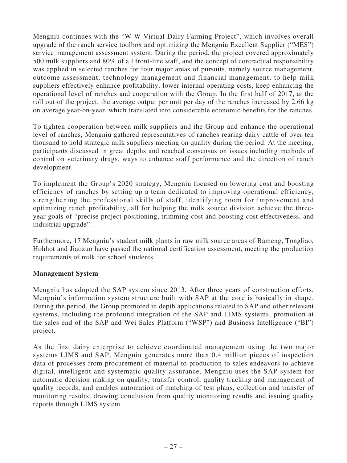Mengniu continues with the "W-W Virtual Dairy Farming Project", which involves overall upgrade of the ranch service toolbox and optimizing the Mengniu Excellent Supplier ("MES") service management assessment system. During the period, the project covered approximately 500 milk suppliers and 80% of all front-line staff, and the concept of contractual responsibility was applied in selected ranches for four major areas of pursuits, namely source management, outcome assessment, technology management and financial management, to help milk suppliers effectively enhance profitability, lower internal operating costs, keep enhancing the operational level of ranches and cooperation with the Group. In the first half of 2017, at the roll out of the project, the average output per unit per day of the ranches increased by 2.66 kg on average year-on-year, which translated into considerable economic benefits for the ranches.

To tighten cooperation between milk suppliers and the Group and enhance the operational level of ranches, Mengniu gathered representatives of ranches rearing dairy cattle of over ten thousand to hold strategic milk suppliers meeting on quality during the period. At the meeting, participants discussed in great depths and reached consensus on issues including methods of control on veterinary drugs, ways to enhance staff performance and the direction of ranch development.

To implement the Group's 2020 strategy, Mengniu focused on lowering cost and boosting efficiency of ranches by setting up a team dedicated to improving operational efficiency, strengthening the professional skills of staff, identifying room for improvement and optimizing ranch profitability, all for helping the milk source division achieve the threeyear goals of "precise project positioning, trimming cost and boosting cost effectiveness, and industrial upgrade".

Furthermore, 17 Mengniu's student milk plants in raw milk source areas of Bameng, Tongliao, Hohhot and Jiaozuo have passed the national certification assessment, meeting the production requirements of milk for school students.

# **Management System**

Mengniu has adopted the SAP system since 2013. After three years of construction efforts, Mengniu's information system structure built with SAP at the core is basically in shape. During the period, the Group promoted in depth applications related to SAP and other relevant systems, including the profound integration of the SAP and LIMS systems, promotion at the sales end of the SAP and Wei Sales Platform ("WSP") and Business Intelligence ("BI") project.

As the first dairy enterprise to achieve coordinated management using the two major systems LIMS and SAP, Mengniu generates more than 0.4 million pieces of inspection data of processes from procurement of material to production to sales endeavors to achieve digital, intelligent and systematic quality assurance. Mengniu uses the SAP system for automatic decision making on quality, transfer control, quality tracking and management of quality records, and enables automation of matching of test plans, collection and transfer of monitoring results, drawing conclusion from quality monitoring results and issuing quality reports through LIMS system.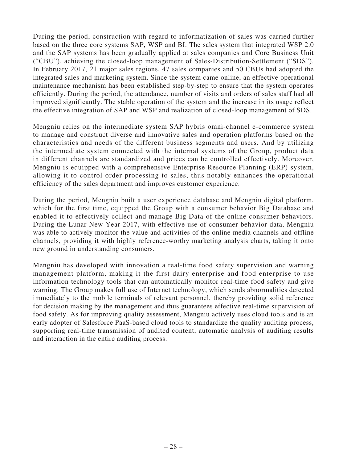During the period, construction with regard to informatization of sales was carried further based on the three core systems SAP, WSP and BI. The sales system that integrated WSP 2.0 and the SAP systems has been gradually applied at sales companies and Core Business Unit ("CBU"), achieving the closed-loop management of Sales-Distribution-Settlement ("SDS"). In February 2017, 21 major sales regions, 47 sales companies and 50 CBUs had adopted the integrated sales and marketing system. Since the system came online, an effective operational maintenance mechanism has been established step-by-step to ensure that the system operates efficiently. During the period, the attendance, number of visits and orders of sales staff had all improved significantly. The stable operation of the system and the increase in its usage reflect the effective integration of SAP and WSP and realization of closed-loop management of SDS.

Mengniu relies on the intermediate system SAP hybris omni-channel e-commerce system to manage and construct diverse and innovative sales and operation platforms based on the characteristics and needs of the different business segments and users. And by utilizing the intermediate system connected with the internal systems of the Group, product data in different channels are standardized and prices can be controlled effectively. Moreover, Mengniu is equipped with a comprehensive Enterprise Resource Planning (ERP) system, allowing it to control order processing to sales, thus notably enhances the operational efficiency of the sales department and improves customer experience.

During the period, Mengniu built a user experience database and Mengniu digital platform, which for the first time, equipped the Group with a consumer behavior Big Database and enabled it to effectively collect and manage Big Data of the online consumer behaviors. During the Lunar New Year 2017, with effective use of consumer behavior data, Mengniu was able to actively monitor the value and activities of the online media channels and offline channels, providing it with highly reference-worthy marketing analysis charts, taking it onto new ground in understanding consumers.

Mengniu has developed with innovation a real-time food safety supervision and warning management platform, making it the first dairy enterprise and food enterprise to use information technology tools that can automatically monitor real-time food safety and give warning. The Group makes full use of Internet technology, which sends abnormalities detected immediately to the mobile terminals of relevant personnel, thereby providing solid reference for decision making by the management and thus guarantees effective real-time supervision of food safety. As for improving quality assessment, Mengniu actively uses cloud tools and is an early adopter of Salesforce PaaS-based cloud tools to standardize the quality auditing process, supporting real-time transmission of audited content, automatic analysis of auditing results and interaction in the entire auditing process.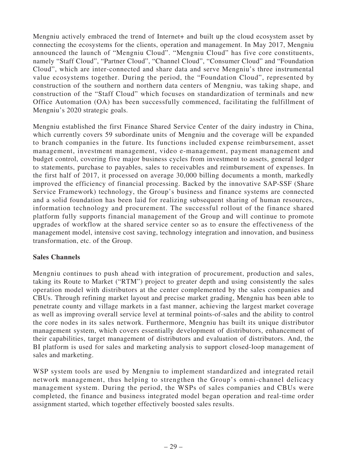Mengniu actively embraced the trend of Internet+ and built up the cloud ecosystem asset by connecting the ecosystems for the clients, operation and management. In May 2017, Mengniu announced the launch of "Mengniu Cloud". "Mengniu Cloud" has five core constituents, namely "Staff Cloud", "Partner Cloud", "Channel Cloud", "Consumer Cloud" and "Foundation Cloud", which are inter-connected and share data and serve Mengniu's three instrumental value ecosystems together. During the period, the "Foundation Cloud", represented by construction of the southern and northern data centers of Mengniu, was taking shape, and construction of the "Staff Cloud" which focuses on standardization of terminals and new Office Automation (OA) has been successfully commenced, facilitating the fulfillment of Mengniu's 2020 strategic goals.

Mengniu established the first Finance Shared Service Center of the dairy industry in China, which currently covers 59 subordinate units of Mengniu and the coverage will be expanded to branch companies in the future. Its functions included expense reimbursement, asset management, investment management, video e-management, payment management and budget control, covering five major business cycles from investment to assets, general ledger to statements, purchase to payables, sales to receivables and reimbursement of expenses. In the first half of 2017, it processed on average 30,000 billing documents a month, markedly improved the efficiency of financial processing. Backed by the innovative SAP-SSF (Share Service Framework) technology, the Group's business and finance systems are connected and a solid foundation has been laid for realizing subsequent sharing of human resources, information technology and procurement. The successful rollout of the finance shared platform fully supports financial management of the Group and will continue to promote upgrades of workflow at the shared service center so as to ensure the effectiveness of the management model, intensive cost saving, technology integration and innovation, and business transformation, etc. of the Group.

# **Sales Channels**

Mengniu continues to push ahead with integration of procurement, production and sales, taking its Route to Market ("RTM") project to greater depth and using consistently the sales operation model with distributors at the center complemented by the sales companies and CBUs. Through refining market layout and precise market grading, Mengniu has been able to penetrate county and village markets in a fast manner, achieving the largest market coverage as well as improving overall service level at terminal points-of-sales and the ability to control the core nodes in its sales network. Furthermore, Mengniu has built its unique distributor management system, which covers essentially development of distributors, enhancement of their capabilities, target management of distributors and evaluation of distributors. And, the BI platform is used for sales and marketing analysis to support closed-loop management of sales and marketing.

WSP system tools are used by Mengniu to implement standardized and integrated retail network management, thus helping to strengthen the Group's omni-channel delicacy management system. During the period, the WSPs of sales companies and CBUs were completed, the finance and business integrated model began operation and real-time order assignment started, which together effectively boosted sales results.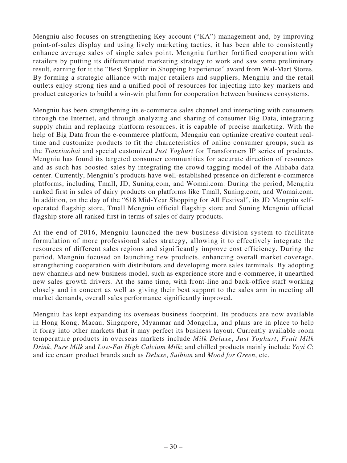Mengniu also focuses on strengthening Key account ("KA") management and, by improving point-of-sales display and using lively marketing tactics, it has been able to consistently enhance average sales of single sales point. Mengniu further fortified cooperation with retailers by putting its differentiated marketing strategy to work and saw some preliminary result, earning for it the "Best Supplier in Shopping Experience" award from Wal-Mart Stores. By forming a strategic alliance with major retailers and suppliers, Mengniu and the retail outlets enjoy strong ties and a unified pool of resources for injecting into key markets and product categories to build a win-win platform for cooperation between business ecosystems.

Mengniu has been strengthening its e-commerce sales channel and interacting with consumers through the Internet, and through analyzing and sharing of consumer Big Data, integrating supply chain and replacing platform resources, it is capable of precise marketing. With the help of Big Data from the e-commerce platform, Mengniu can optimize creative content realtime and customize products to fit the characteristics of online consumer groups, such as the *Tianxiaohai* and special customized *Just Yoghurt* for Transformers IP series of products. Mengniu has found its targeted consumer communities for accurate direction of resources and as such has boosted sales by integrating the crowd tagging model of the Alibaba data center. Currently, Mengniu's products have well-established presence on different e-commerce platforms, including Tmall, JD, Suning.com, and Womai.com. During the period, Mengniu ranked first in sales of dairy products on platforms like Tmall, Suning.com, and Womai.com. In addition, on the day of the "618 Mid-Year Shopping for All Festival", its JD Mengniu selfoperated flagship store, Tmall Mengniu official flagship store and Suning Mengniu official flagship store all ranked first in terms of sales of dairy products.

At the end of 2016, Mengniu launched the new business division system to facilitate formulation of more professional sales strategy, allowing it to effectively integrate the resources of different sales regions and significantly improve cost efficiency. During the period, Mengniu focused on launching new products, enhancing overall market coverage, strengthening cooperation with distributors and developing more sales terminals. By adopting new channels and new business model, such as experience store and e-commerce, it unearthed new sales growth drivers. At the same time, with front-line and back-office staff working closely and in concert as well as giving their best support to the sales arm in meeting all market demands, overall sales performance significantly improved.

Mengniu has kept expanding its overseas business footprint. Its products are now available in Hong Kong, Macau, Singapore, Myanmar and Mongolia, and plans are in place to help it foray into other markets that it may perfect its business layout. Currently available room temperature products in overseas markets include *Milk Deluxe*, *Just Yoghurt*, *Fruit Milk Drink*, *Pure Milk* and *Low-Fat High Calcium Milk*; and chilled products mainly include *Yoyi C*; and ice cream product brands such as *Deluxe*, *Suibian* and *Mood for Green*, etc.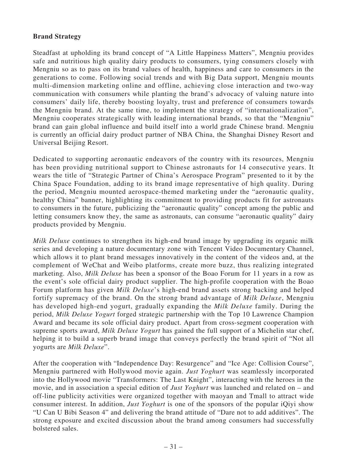# **Brand Strategy**

Steadfast at upholding its brand concept of "A Little Happiness Matters", Mengniu provides safe and nutritious high quality dairy products to consumers, tying consumers closely with Mengniu so as to pass on its brand values of health, happiness and care to consumers in the generations to come. Following social trends and with Big Data support, Mengniu mounts multi-dimension marketing online and offline, achieving close interaction and two-way communication with consumers while planting the brand's advocacy of valuing nature into consumers' daily life, thereby boosting loyalty, trust and preference of consumers towards the Mengniu brand. At the same time, to implement the strategy of "internationalization", Mengniu cooperates strategically with leading international brands, so that the "Mengniu" brand can gain global influence and build itself into a world grade Chinese brand. Mengniu is currently an official dairy product partner of NBA China, the Shanghai Disney Resort and Universal Beijing Resort.

Dedicated to supporting aeronautic endeavors of the country with its resources, Mengniu has been providing nutritional support to Chinese astronauts for 14 consecutive years. It wears the title of "Strategic Partner of China's Aerospace Program" presented to it by the China Space Foundation, adding to its brand image representative of high quality. During the period, Mengniu mounted aerospace-themed marketing under the "aeronautic quality, healthy China" banner, highlighting its commitment to providing products fit for astronauts to consumers in the future, publicizing the "aeronautic quality" concept among the public and letting consumers know they, the same as astronauts, can consume "aeronautic quality" dairy products provided by Mengniu.

*Milk Deluxe* continues to strengthen its high-end brand image by upgrading its organic milk series and developing a nature documentary zone with Tencent Video Documentary Channel, which allows it to plant brand messages innovatively in the content of the videos and, at the complement of WeChat and Weibo platforms, create more buzz, thus realizing integrated marketing. Also, *Milk Deluxe* has been a sponsor of the Boao Forum for 11 years in a row as the event's sole official dairy product supplier. The high-profile cooperation with the Boao Forum platform has given *Milk Deluxe*'s high-end brand assets strong backing and helped fortify supremacy of the brand. On the strong brand advantage of *Milk Deluxe*, Mengniu has developed high-end yogurt, gradually expanding the *Milk Deluxe* family. During the period, *Milk Deluxe Yogurt* forged strategic partnership with the Top 10 Lawrence Champion Award and became its sole official dairy product. Apart from cross-segment cooperation with supreme sports award, *Milk Deluxe Yogurt* has gained the full support of a Michelin star chef, helping it to build a superb brand image that conveys perfectly the brand spirit of "Not all yogurts are *Milk Deluxe*".

After the cooperation with "Independence Day: Resurgence" and "Ice Age: Collision Course", Mengniu partnered with Hollywood movie again. *Just Yoghurt* was seamlessly incorporated into the Hollywood movie "Transformers: The Last Knight", interacting with the heroes in the movie, and in association a special edition of *Just Yoghurt* was launched and related on – and off-line publicity activities were organized together with maoyan and Tmall to attract wide consumer interest. In addition, *Just Yoghurt* is one of the sponsors of the popular iQiyi show "U Can U Bibi Season 4" and delivering the brand attitude of "Dare not to add additives". The strong exposure and excited discussion about the brand among consumers had successfully bolstered sales.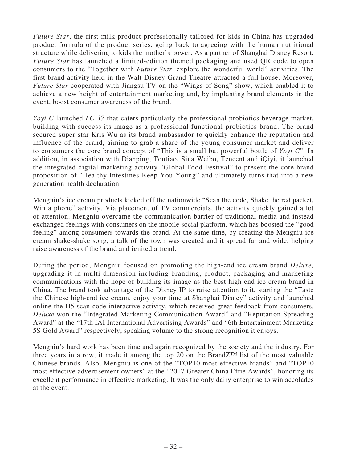*Future Star*, the first milk product professionally tailored for kids in China has upgraded product formula of the product series, going back to agreeing with the human nutritional structure while delivering to kids the mother's power. As a partner of Shanghai Disney Resort, *Future Star* has launched a limited-edition themed packaging and used QR code to open consumers to the "Together with *Future Star*, explore the wonderful world" activities. The first brand activity held in the Walt Disney Grand Theatre attracted a full-house. Moreover, *Future Star* cooperated with Jiangsu TV on the "Wings of Song" show, which enabled it to achieve a new height of entertainment marketing and, by implanting brand elements in the event, boost consumer awareness of the brand.

*Yoyi C* launched *LC-37* that caters particularly the professional probiotics beverage market, building with success its image as a professional functional probiotics brand. The brand secured super star Kris Wu as its brand ambassador to quickly enhance the reputation and influence of the brand, aiming to grab a share of the young consumer market and deliver to consumers the core brand concept of "This is a small but powerful bottle of *Yoyi C*". In addition, in association with Dianping, Toutiao, Sina Weibo, Tencent and iQiyi, it launched the integrated digital marketing activity "Global Food Festival" to present the core brand proposition of "Healthy Intestines Keep You Young" and ultimately turns that into a new generation health declaration.

Mengniu's ice cream products kicked off the nationwide "Scan the code, Shake the red packet, Win a phone" activity. Via placement of TV commercials, the activity quickly gained a lot of attention. Mengniu overcame the communication barrier of traditional media and instead exchanged feelings with consumers on the mobile social platform, which has boosted the "good feeling" among consumers towards the brand. At the same time, by creating the Mengniu ice cream shake-shake song, a talk of the town was created and it spread far and wide, helping raise awareness of the brand and ignited a trend.

During the period, Mengniu focused on promoting the high-end ice cream brand *Deluxe,* upgrading it in multi-dimension including branding, product, packaging and marketing communications with the hope of building its image as the best high-end ice cream brand in China. The brand took advantage of the Disney IP to raise attention to it, starting the "Taste the Chinese high-end ice cream, enjoy your time at Shanghai Disney" activity and launched online the H5 scan code interactive activity, which received great feedback from consumers. *Deluxe* won the "Integrated Marketing Communication Award" and "Reputation Spreading Award" at the "17th IAI International Advertising Awards" and "6th Entertainment Marketing 5S Gold Award" respectively, speaking volume to the strong recognition it enjoys.

Mengniu's hard work has been time and again recognized by the society and the industry. For three years in a row, it made it among the top 20 on the BrandZ™ list of the most valuable Chinese brands. Also, Mengniu is one of the "TOP10 most effective brands" and "TOP10 most effective advertisement owners" at the "2017 Greater China Effie Awards", honoring its excellent performance in effective marketing. It was the only dairy enterprise to win accolades at the event.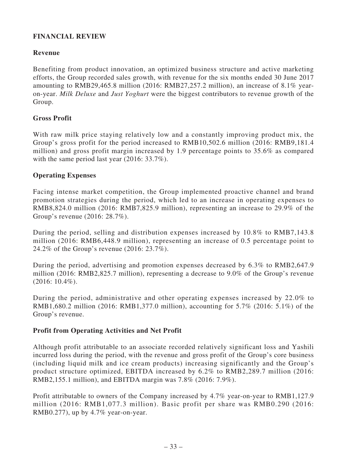# **FINANCIAL REVIEW**

# **Revenue**

Benefiting from product innovation, an optimized business structure and active marketing efforts, the Group recorded sales growth, with revenue for the six months ended 30 June 2017 amounting to RMB29,465.8 million (2016: RMB27,257.2 million), an increase of 8.1% yearon-year. *Milk Deluxe* and *Just Yoghurt* were the biggest contributors to revenue growth of the Group.

### **Gross Profit**

With raw milk price staying relatively low and a constantly improving product mix, the Group's gross profit for the period increased to RMB10,502.6 million (2016: RMB9,181.4 million) and gross profit margin increased by 1.9 percentage points to 35.6% as compared with the same period last year (2016: 33.7%).

### **Operating Expenses**

Facing intense market competition, the Group implemented proactive channel and brand promotion strategies during the period, which led to an increase in operating expenses to RMB8,824.0 million (2016: RMB7,825.9 million), representing an increase to 29.9% of the Group's revenue (2016: 28.7%).

During the period, selling and distribution expenses increased by 10.8% to RMB7,143.8 million (2016: RMB6,448.9 million), representing an increase of 0.5 percentage point to 24.2% of the Group's revenue (2016: 23.7%).

During the period, advertising and promotion expenses decreased by 6.3% to RMB2,647.9 million (2016: RMB2,825.7 million), representing a decrease to 9.0% of the Group's revenue (2016: 10.4%).

During the period, administrative and other operating expenses increased by 22.0% to RMB1,680.2 million (2016: RMB1,377.0 million), accounting for 5.7% (2016: 5.1%) of the Group's revenue.

### **Profit from Operating Activities and Net Profit**

Although profit attributable to an associate recorded relatively significant loss and Yashili incurred loss during the period, with the revenue and gross profit of the Group's core business (including liquid milk and ice cream products) increasing significantly and the Group's product structure optimized, EBITDA increased by 6.2% to RMB2,289.7 million (2016: RMB2,155.1 million), and EBITDA margin was 7.8% (2016: 7.9%).

Profit attributable to owners of the Company increased by 4.7% year-on-year to RMB1,127.9 million (2016: RMB1,077.3 million). Basic profit per share was RMB0.290 (2016: RMB0.277), up by 4.7% year-on-year.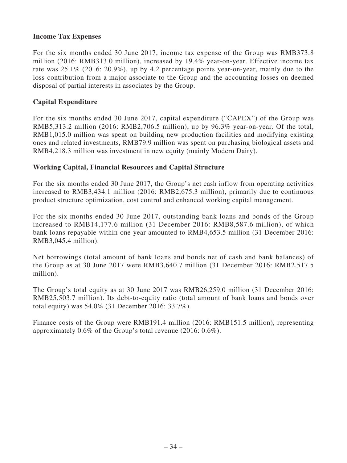### **Income Tax Expenses**

For the six months ended 30 June 2017, income tax expense of the Group was RMB373.8 million (2016: RMB313.0 million), increased by 19.4% year-on-year. Effective income tax rate was 25.1% (2016: 20.9%), up by 4.2 percentage points year-on-year, mainly due to the loss contribution from a major associate to the Group and the accounting losses on deemed disposal of partial interests in associates by the Group.

### **Capital Expenditure**

For the six months ended 30 June 2017, capital expenditure ("CAPEX") of the Group was RMB5,313.2 million (2016: RMB2,706.5 million), up by 96.3% year-on-year. Of the total, RMB1,015.0 million was spent on building new production facilities and modifying existing ones and related investments, RMB79.9 million was spent on purchasing biological assets and RMB4,218.3 million was investment in new equity (mainly Modern Dairy).

### **Working Capital, Financial Resources and Capital Structure**

For the six months ended 30 June 2017, the Group's net cash inflow from operating activities increased to RMB3,434.1 million (2016: RMB2,675.3 million), primarily due to continuous product structure optimization, cost control and enhanced working capital management.

For the six months ended 30 June 2017, outstanding bank loans and bonds of the Group increased to RMB14,177.6 million (31 December 2016: RMB8,587.6 million), of which bank loans repayable within one year amounted to RMB4,653.5 million (31 December 2016: RMB3,045.4 million).

Net borrowings (total amount of bank loans and bonds net of cash and bank balances) of the Group as at 30 June 2017 were RMB3,640.7 million (31 December 2016: RMB2,517.5 million).

The Group's total equity as at 30 June 2017 was RMB26,259.0 million (31 December 2016: RMB25,503.7 million). Its debt-to-equity ratio (total amount of bank loans and bonds over total equity) was 54.0% (31 December 2016: 33.7%).

Finance costs of the Group were RMB191.4 million (2016: RMB151.5 million), representing approximately 0.6% of the Group's total revenue (2016: 0.6%).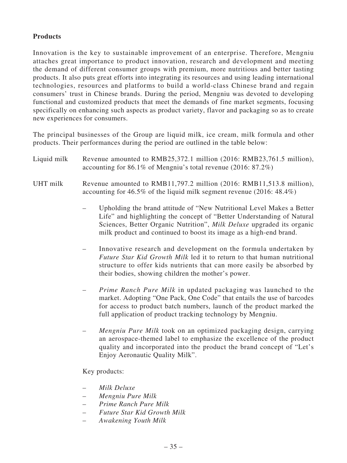# **Products**

Innovation is the key to sustainable improvement of an enterprise. Therefore, Mengniu attaches great importance to product innovation, research and development and meeting the demand of different consumer groups with premium, more nutritious and better tasting products. It also puts great efforts into integrating its resources and using leading international technologies, resources and platforms to build a world-class Chinese brand and regain consumers' trust in Chinese brands. During the period, Mengniu was devoted to developing functional and customized products that meet the demands of fine market segments, focusing specifically on enhancing such aspects as product variety, flavor and packaging so as to create new experiences for consumers.

The principal businesses of the Group are liquid milk, ice cream, milk formula and other products. Their performances during the period are outlined in the table below:

| Liquid milk | Revenue amounted to RMB25,372.1 million (2016: RMB23,761.5 million),<br>accounting for 86.1% of Mengniu's total revenue $(2016: 87.2\%)$                                                                                                                                                       |
|-------------|------------------------------------------------------------------------------------------------------------------------------------------------------------------------------------------------------------------------------------------------------------------------------------------------|
| UHT milk    | Revenue amounted to RMB11,797.2 million (2016: RMB11,513.8 million),<br>accounting for 46.5% of the liquid milk segment revenue $(2016: 48.4\%)$                                                                                                                                               |
|             | Upholding the brand attitude of "New Nutritional Level Makes a Better<br>Life" and highlighting the concept of "Better Understanding of Natural<br>Sciences, Better Organic Nutrition", Milk Deluxe upgraded its organic<br>milk product and continued to boost its image as a high-end brand. |
|             | Innovative research and development on the formula undertaken by<br><i>Future Star Kid Growth Milk</i> led it to return to that human nutritional<br>structure to offer kids nutrients that can more easily be absorbed by<br>their bodies, showing children the mother's power.               |
|             | <i>Prime Ranch Pure Milk</i> in updated packaging was launched to the<br>market. Adopting "One Pack, One Code" that entails the use of barcodes                                                                                                                                                |

– *Mengniu Pure Milk* took on an optimized packaging design, carrying an aerospace-themed label to emphasize the excellence of the product quality and incorporated into the product the brand concept of "Let's Enjoy Aeronautic Quality Milk".

full application of product tracking technology by Mengniu.

for access to product batch numbers, launch of the product marked the

Key products:

- *Milk Deluxe*
- *Mengniu Pure Milk*
- *Prime Ranch Pure Milk*
- *Future Star Kid Growth Milk*
- *Awakening Youth Milk*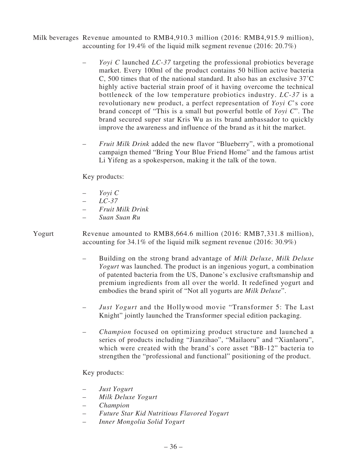Milk beverages Revenue amounted to RMB4,910.3 million (2016: RMB4,915.9 million), accounting for 19.4% of the liquid milk segment revenue (2016: 20.7%)

- *Yoyi C* launched *LC-37* targeting the professional probiotics beverage market. Every 100ml of the product contains 50 billion active bacteria C, 500 times that of the national standard. It also has an exclusive 37˚C highly active bacterial strain proof of it having overcome the technical bottleneck of the low temperature probiotics industry. *LC-37* is a revolutionary new product, a perfect representation of *Yoyi C*'s core brand concept of "This is a small but powerful bottle of *Yoyi C*". The brand secured super star Kris Wu as its brand ambassador to quickly improve the awareness and influence of the brand as it hit the market.
- *Fruit Milk Drink* added the new flavor "Blueberry", with a promotional campaign themed "Bring Your Blue Friend Home" and the famous artist Li Yifeng as a spokesperson, making it the talk of the town.

Key products:

- *Yoyi C*
- *LC-37*
- *Fruit Milk Drink*
- *Suan Suan Ru*
- Yogurt Revenue amounted to RMB8,664.6 million (2016: RMB7,331.8 million), accounting for 34.1% of the liquid milk segment revenue (2016: 30.9%)
	- Building on the strong brand advantage of *Milk Deluxe*, *Milk Deluxe Yogurt* was launched. The product is an ingenious yogurt, a combination of patented bacteria from the US, Danone's exclusive craftsmanship and premium ingredients from all over the world. It redefined yogurt and embodies the brand spirit of "Not all yogurts are *Milk Deluxe*".
	- *Just Yogurt* and the Hollywood movie "Transformer 5: The Last Knight" jointly launched the Transformer special edition packaging.
	- *Champion* focused on optimizing product structure and launched a series of products including "Jianzihao", "Mailaoru" and "Xianlaoru", which were created with the brand's core asset "BB-12" bacteria to strengthen the "professional and functional" positioning of the product.

Key products:

- *Just Yogurt*
- *Milk Deluxe Yogurt*
- *Champion*
- *Future Star Kid Nutritious Flavored Yogurt*
- *Inner Mongolia Solid Yogurt*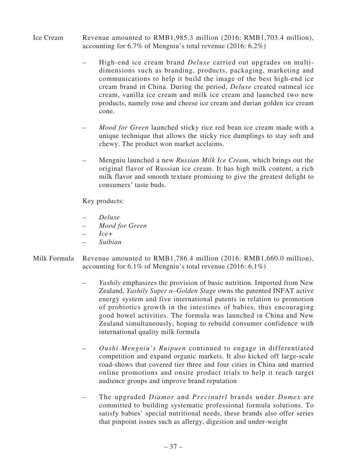- Ice Cream Revenue amounted to RMB1,985.3 million (2016: RMB1,703.4 million), accounting for 6.7% of Mengniu's total revenue (2016: 6.2%)
	- High-end ice cream brand *Deluxe* carried out upgrades on multidimensions such as branding, products, packaging, marketing and communications to help it build the image of the best high-end ice cream brand in China. During the period, *Deluxe* created oatmeal ice cream, vanilla ice cream and milk ice cream and launched two new products, namely rose and cheese ice cream and durian golden ice cream cone.
	- *Mood for Green* launched sticky rice red bean ice cream made with a unique technique that allows the sticky rice dumplings to stay soft and chewy. The product won market acclaims.
	- Mengniu launched a new *Russian Milk Ice Cream*, which brings out the original flavor of Russian ice cream. It has high milk content, a rich milk flavor and smooth texture promising to give the greatest delight to consumers' taste buds.

Key products:

- *Deluxe*
- *Mood for Green*
- *Ice+*
- *Suibian*
- Milk Formula Revenue amounted to RMB1,786.4 million (2016: RMB1,660.0 million), accounting for 6.1% of Mengniu's total revenue (2016: 6.1%)
	- *Yashily* emphasizes the provision of basic nutrition. Imported from New Zealand, *Yashily Super α*–*Golden Stage* owns the patented INFAT active energy system and five international patents in relation to promotion of probiotics growth in the intestines of babies, thus encouraging good bowel activities. The formula was launched in China and New Zealand simultaneously, hoping to rebuild consumer confidence with international quality milk formula
	- *Oushi Mengniu's Ruipuen* continued to engage in differentiated competition and expand organic markets. It also kicked off large-scale road-shows that covered tier three and four cities in China and married online promotions and onsite product trials to help it reach target audience groups and improve brand reputation
	- The upgraded *Diamor* and *Precinutrl* brands under *Dumex* are committed to building systematic professional formula solutions. To satisfy babies' special nutritional needs, these brands also offer series that pinpoint issues such as allergy, digestion and under-weight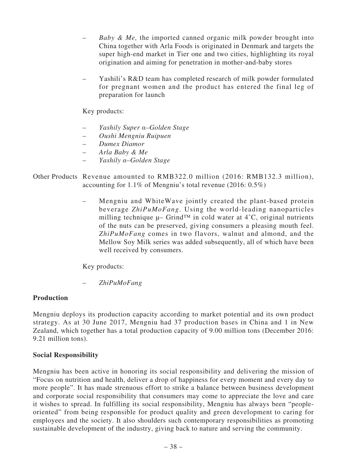- *Baby & Me,* the imported canned organic milk powder brought into China together with Arla Foods is originated in Denmark and targets the super high-end market in Tier one and two cities, highlighting its royal origination and aiming for penetration in mother-and-baby stores
- Yashili's R&D team has completed research of milk powder formulated for pregnant women and the product has entered the final leg of preparation for launch

Key products:

- *Yashily Super α–Golden Stage*
- *Oushi Mengniu Ruipuen*
- *Dumex Diamor*
- *Arla Baby & Me*
- *Yashily α–Golden Stage*
- Other Products Revenue amounted to RMB322.0 million (2016: RMB132.3 million), accounting for 1.1% of Mengniu's total revenue (2016: 0.5%)
	- Mengniu and WhiteWave jointly created the plant-based protein beverage *ZhiPuMoFang*. Using the world-leading nanoparticles milling technique  $\mu$ – Grind<sup>™</sup> in cold water at 4<sup>°</sup>C, original nutrients of the nuts can be preserved, giving consumers a pleasing mouth feel. *ZhiPuMoFang* comes in two flavors, walnut and almond, and the Mellow Soy Milk series was added subsequently, all of which have been well received by consumers.

Key products:

– *ZhiPuMoFang*

# **Production**

Mengniu deploys its production capacity according to market potential and its own product strategy. As at 30 June 2017, Mengniu had 37 production bases in China and 1 in New Zealand, which together has a total production capacity of 9.00 million tons (December 2016: 9.21 million tons).

# **Social Responsibility**

Mengniu has been active in honoring its social responsibility and delivering the mission of "Focus on nutrition and health, deliver a drop of happiness for every moment and every day to more people". It has made strenuous effort to strike a balance between business development and corporate social responsibility that consumers may come to appreciate the love and care it wishes to spread. In fulfilling its social responsibility, Mengniu has always been "peopleoriented" from being responsible for product quality and green development to caring for employees and the society. It also shoulders such contemporary responsibilities as promoting sustainable development of the industry, giving back to nature and serving the community.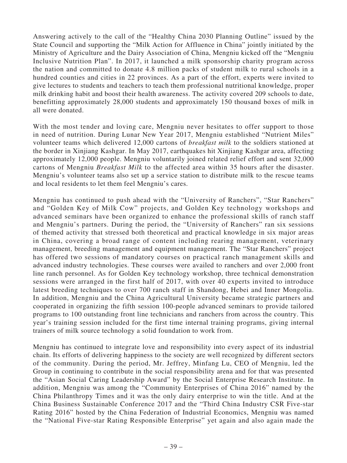Answering actively to the call of the "Healthy China 2030 Planning Outline" issued by the State Council and supporting the "Milk Action for Affluence in China" jointly initiated by the Ministry of Agriculture and the Dairy Association of China, Mengniu kicked off the "Mengniu Inclusive Nutrition Plan". In 2017, it launched a milk sponsorship charity program across the nation and committed to donate 4.8 million packs of student milk to rural schools in a hundred counties and cities in 22 provinces. As a part of the effort, experts were invited to give lectures to students and teachers to teach them professional nutritional knowledge, proper milk drinking habit and boost their health awareness. The activity covered 209 schools to date, benefitting approximately 28,000 students and approximately 150 thousand boxes of milk in all were donated.

With the most tender and loving care, Mengniu never hesitates to offer support to those in need of nutrition. During Lunar New Year 2017, Mengniu established "Nutrient Miles" volunteer teams which delivered 12,000 cartons of *breakfast milk* to the soldiers stationed at the border in Xinjiang Kashgar. In May 2017, earthquakes hit Xinjiang Kashgar area, affecting approximately 12,000 people. Mengniu voluntarily joined related relief effort and sent 32,000 cartons of Mengniu *Breakfast Milk* to the affected area within 35 hours after the disaster. Mengniu's volunteer teams also set up a service station to distribute milk to the rescue teams and local residents to let them feel Mengniu's cares.

Mengniu has continued to push ahead with the "University of Ranchers", "Star Ranchers" and "Golden Key of Milk Cow" projects, and Golden Key technology workshops and advanced seminars have been organized to enhance the professional skills of ranch staff and Mengniu's partners. During the period, the "University of Ranchers" ran six sessions of themed activity that stressed both theoretical and practical knowledge in six major areas in China, covering a broad range of content including rearing management, veterinary management, breeding management and equipment management. The "Star Ranchers" project has offered two sessions of mandatory courses on practical ranch management skills and advanced industry technologies. These courses were availed to ranchers and over 2,000 front line ranch personnel. As for Golden Key technology workshop, three technical demonstration sessions were arranged in the first half of 2017, with over 40 experts invited to introduce latest breeding techniques to over 700 ranch staff in Shandong, Hebei and Inner Mongolia. In addition, Mengniu and the China Agricultural University became strategic partners and cooperated in organizing the fifth session 100-people advanced seminars to provide tailored programs to 100 outstanding front line technicians and ranchers from across the country. This year's training session included for the first time internal training programs, giving internal trainers of milk source technology a solid foundation to work from.

Mengniu has continued to integrate love and responsibility into every aspect of its industrial chain. Its efforts of delivering happiness to the society are well recognized by different sectors of the community. During the period, Mr. Jeffrey, Minfang Lu, CEO of Mengniu, led the Group in continuing to contribute in the social responsibility arena and for that was presented the "Asian Social Caring Leadership Award" by the Social Enterprise Research Institute. In addition, Mengniu was among the "Community Enterprises of China 2016" named by the China Philanthropy Times and it was the only dairy enterprise to win the title. And at the China Business Sustainable Conference 2017 and the "Third China Industry CSR Five-star Rating 2016" hosted by the China Federation of Industrial Economics, Mengniu was named the "National Five-star Rating Responsible Enterprise" yet again and also again made the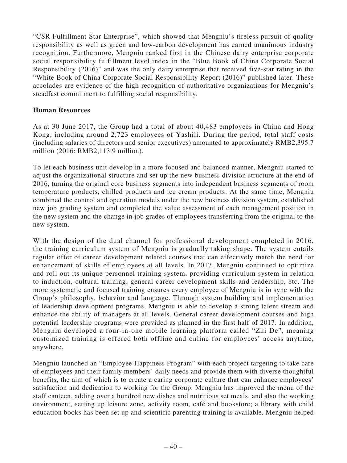"CSR Fulfillment Star Enterprise", which showed that Mengniu's tireless pursuit of quality responsibility as well as green and low-carbon development has earned unanimous industry recognition. Furthermore, Mengniu ranked first in the Chinese dairy enterprise corporate social responsibility fulfillment level index in the "Blue Book of China Corporate Social Responsibility (2016)" and was the only dairy enterprise that received five-star rating in the "White Book of China Corporate Social Responsibility Report (2016)" published later. These accolades are evidence of the high recognition of authoritative organizations for Mengniu's steadfast commitment to fulfilling social responsibility.

### **Human Resources**

As at 30 June 2017, the Group had a total of about 40,483 employees in China and Hong Kong, including around 2,723 employees of Yashili. During the period, total staff costs (including salaries of directors and senior executives) amounted to approximately RMB2,395.7 million (2016: RMB2,113.9 million).

To let each business unit develop in a more focused and balanced manner, Mengniu started to adjust the organizational structure and set up the new business division structure at the end of 2016, turning the original core business segments into independent business segments of room temperature products, chilled products and ice cream products. At the same time, Mengniu combined the control and operation models under the new business division system, established new job grading system and completed the value assessment of each management position in the new system and the change in job grades of employees transferring from the original to the new system.

With the design of the dual channel for professional development completed in 2016, the training curriculum system of Mengniu is gradually taking shape. The system entails regular offer of career development related courses that can effectively match the need for enhancement of skills of employees at all levels. In 2017, Mengniu continued to optimize and roll out its unique personnel training system, providing curriculum system in relation to induction, cultural training, general career development skills and leadership, etc. The more systematic and focused training ensures every employee of Mengniu is in sync with the Group's philosophy, behavior and language. Through system building and implementation of leadership development programs, Mengniu is able to develop a strong talent stream and enhance the ability of managers at all levels. General career development courses and high potential leadership programs were provided as planned in the first half of 2017. In addition, Mengniu developed a four-in-one mobile learning platform called "Zhi De", meaning customized training is offered both offline and online for employees' access anytime, anywhere.

Mengniu launched an "Employee Happiness Program" with each project targeting to take care of employees and their family members' daily needs and provide them with diverse thoughtful benefits, the aim of which is to create a caring corporate culture that can enhance employees' satisfaction and dedication to working for the Group. Mengniu has improved the menu of the staff canteen, adding over a hundred new dishes and nutritious set meals, and also the working environment, setting up leisure zone, activity room, café and bookstore; a library with child education books has been set up and scientific parenting training is available. Mengniu helped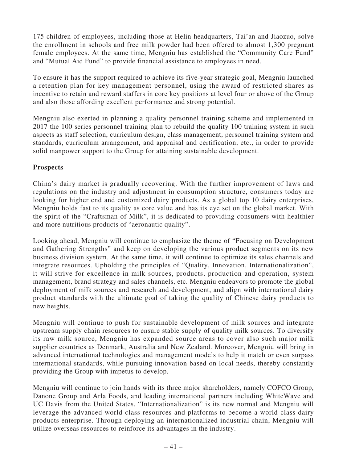175 children of employees, including those at Helin headquarters, Tai'an and Jiaozuo, solve the enrollment in schools and free milk powder had been offered to almost 1,300 pregnant female employees. At the same time, Mengniu has established the "Community Care Fund" and "Mutual Aid Fund" to provide financial assistance to employees in need.

To ensure it has the support required to achieve its five-year strategic goal, Mengniu launched a retention plan for key management personnel, using the award of restricted shares as incentive to retain and reward staffers in core key positions at level four or above of the Group and also those affording excellent performance and strong potential.

Mengniu also exerted in planning a quality personnel training scheme and implemented in 2017 the 100 series personnel training plan to rebuild the quality 100 training system in such aspects as staff selection, curriculum design, class management, personnel training system and standards, curriculum arrangement, and appraisal and certification, etc., in order to provide solid manpower support to the Group for attaining sustainable development.

# **Prospects**

China's dairy market is gradually recovering. With the further improvement of laws and regulations on the industry and adjustment in consumption structure, consumers today are looking for higher end and customized dairy products. As a global top 10 dairy enterprises, Mengniu holds fast to its quality as core value and has its eye set on the global market. With the spirit of the "Craftsman of Milk", it is dedicated to providing consumers with healthier and more nutritious products of "aeronautic quality".

Looking ahead, Mengniu will continue to emphasize the theme of "Focusing on Development and Gathering Strengths" and keep on developing the various product segments on its new business division system. At the same time, it will continue to optimize its sales channels and integrate resources. Upholding the principles of "Quality, Innovation, Internationalization", it will strive for excellence in milk sources, products, production and operation, system management, brand strategy and sales channels, etc. Mengniu endeavors to promote the global deployment of milk sources and research and development, and align with international dairy product standards with the ultimate goal of taking the quality of Chinese dairy products to new heights.

Mengniu will continue to push for sustainable development of milk sources and integrate upstream supply chain resources to ensure stable supply of quality milk sources. To diversify its raw milk source, Mengniu has expanded source areas to cover also such major milk supplier countries as Denmark, Australia and New Zealand. Moreover, Mengniu will bring in advanced international technologies and management models to help it match or even surpass international standards, while pursuing innovation based on local needs, thereby constantly providing the Group with impetus to develop.

Mengniu will continue to join hands with its three major shareholders, namely COFCO Group, Danone Group and Arla Foods, and leading international partners including WhiteWave and UC Davis from the United States. "Internationalization" is its new normal and Mengniu will leverage the advanced world-class resources and platforms to become a world-class dairy products enterprise. Through deploying an internationalized industrial chain, Mengniu will utilize overseas resources to reinforce its advantages in the industry.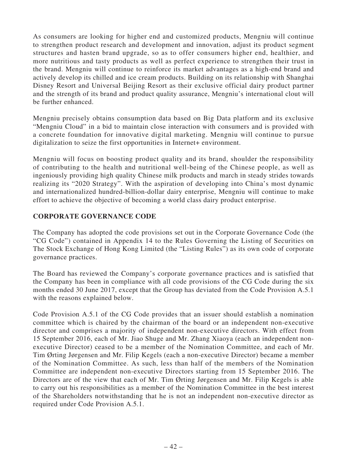As consumers are looking for higher end and customized products, Mengniu will continue to strengthen product research and development and innovation, adjust its product segment structures and hasten brand upgrade, so as to offer consumers higher end, healthier, and more nutritious and tasty products as well as perfect experience to strengthen their trust in the brand. Mengniu will continue to reinforce its market advantages as a high-end brand and actively develop its chilled and ice cream products. Building on its relationship with Shanghai Disney Resort and Universal Beijing Resort as their exclusive official dairy product partner and the strength of its brand and product quality assurance, Mengniu's international clout will be further enhanced.

Mengniu precisely obtains consumption data based on Big Data platform and its exclusive "Mengniu Cloud" in a bid to maintain close interaction with consumers and is provided with a concrete foundation for innovative digital marketing. Mengniu will continue to pursue digitalization to seize the first opportunities in Internet+ environment.

Mengniu will focus on boosting product quality and its brand, shoulder the responsibility of contributing to the health and nutritional well-being of the Chinese people, as well as ingeniously providing high quality Chinese milk products and march in steady strides towards realizing its "2020 Strategy". With the aspiration of developing into China's most dynamic and internationalized hundred-billion-dollar dairy enterprise, Mengniu will continue to make effort to achieve the objective of becoming a world class dairy product enterprise.

# **CORPORATE GOVERNANCE CODE**

The Company has adopted the code provisions set out in the Corporate Governance Code (the "CG Code") contained in Appendix 14 to the Rules Governing the Listing of Securities on The Stock Exchange of Hong Kong Limited (the "Listing Rules") as its own code of corporate governance practices.

The Board has reviewed the Company's corporate governance practices and is satisfied that the Company has been in compliance with all code provisions of the CG Code during the six months ended 30 June 2017, except that the Group has deviated from the Code Provision A.5.1 with the reasons explained below.

Code Provision A.5.1 of the CG Code provides that an issuer should establish a nomination committee which is chaired by the chairman of the board or an independent non-executive director and comprises a majority of independent non-executive directors. With effect from 15 September 2016, each of Mr. Jiao Shuge and Mr. Zhang Xiaoya (each an independent nonexecutive Director) ceased to be a member of the Nomination Committee, and each of Mr. Tim Ørting Jørgensen and Mr. Filip Kegels (each a non-executive Director) became a member of the Nomination Committee. As such, less than half of the members of the Nomination Committee are independent non-executive Directors starting from 15 September 2016. The Directors are of the view that each of Mr. Tim Ørting Jørgensen and Mr. Filip Kegels is able to carry out his responsibilities as a member of the Nomination Committee in the best interest of the Shareholders notwithstanding that he is not an independent non-executive director as required under Code Provision A.5.1.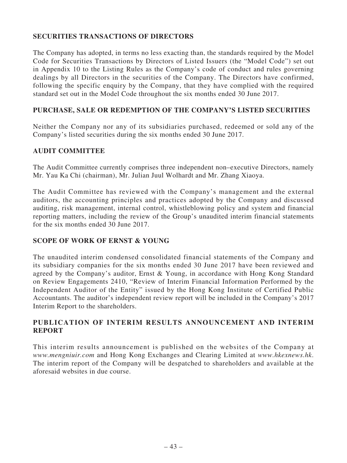# **SECURITIES TRANSACTIONS OF DIRECTORS**

The Company has adopted, in terms no less exacting than, the standards required by the Model Code for Securities Transactions by Directors of Listed Issuers (the "Model Code") set out in Appendix 10 to the Listing Rules as the Company's code of conduct and rules governing dealings by all Directors in the securities of the Company. The Directors have confirmed, following the specific enquiry by the Company, that they have complied with the required standard set out in the Model Code throughout the six months ended 30 June 2017.

### **PURCHASE, SALE OR REDEMPTION OF THE COMPANY'S LISTED SECURITIES**

Neither the Company nor any of its subsidiaries purchased, redeemed or sold any of the Company's listed securities during the six months ended 30 June 2017.

### **AUDIT COMMITTEE**

The Audit Committee currently comprises three independent non–executive Directors, namely Mr. Yau Ka Chi (chairman), Mr. Julian Juul Wolhardt and Mr. Zhang Xiaoya.

The Audit Committee has reviewed with the Company's management and the external auditors, the accounting principles and practices adopted by the Company and discussed auditing, risk management, internal control, whistleblowing policy and system and financial reporting matters, including the review of the Group's unaudited interim financial statements for the six months ended 30 June 2017.

# **SCOPE OF WORK OF ERNST & YOUNG**

The unaudited interim condensed consolidated financial statements of the Company and its subsidiary companies for the six months ended 30 June 2017 have been reviewed and agreed by the Company's auditor, Ernst & Young, in accordance with Hong Kong Standard on Review Engagements 2410, "Review of Interim Financial Information Performed by the Independent Auditor of the Entity" issued by the Hong Kong Institute of Certified Public Accountants. The auditor's independent review report will be included in the Company's 2017 Interim Report to the shareholders.

# **PUBLICATION OF INTERIM RESULTS ANNOUNCEMENT AND INTERIM REPORT**

This interim results announcement is published on the websites of the Company at *www.mengniuir.com* and Hong Kong Exchanges and Clearing Limited at *www.hkexnews.hk*. The interim report of the Company will be despatched to shareholders and available at the aforesaid websites in due course.